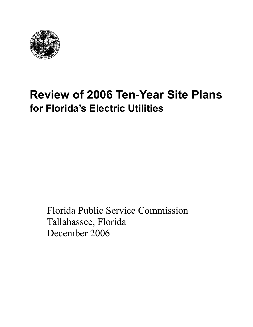

# **Review of 2006 Ten-Year Site Plans for Florida's Electric Utilities**

Florida Public Service Commission Tallahassee, Florida December 2006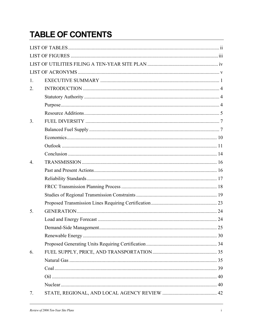## **TABLE OF CONTENTS**

| 1.               |  |
|------------------|--|
| 2.               |  |
|                  |  |
|                  |  |
|                  |  |
| 3.               |  |
|                  |  |
|                  |  |
|                  |  |
|                  |  |
| $\overline{4}$ . |  |
|                  |  |
|                  |  |
|                  |  |
|                  |  |
|                  |  |
| 5.               |  |
|                  |  |
|                  |  |
|                  |  |
|                  |  |
| 6.               |  |
|                  |  |
|                  |  |
|                  |  |
|                  |  |
| 7.               |  |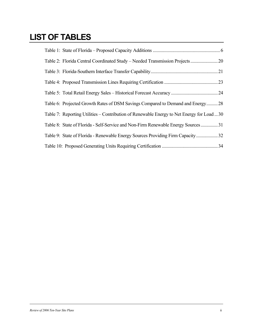## **LIST OF TABLES**

| Table 2: Florida Central Coordinated Study – Needed Transmission Projects  20             |  |
|-------------------------------------------------------------------------------------------|--|
|                                                                                           |  |
|                                                                                           |  |
|                                                                                           |  |
| Table 6: Projected Growth Rates of DSM Savings Compared to Demand and Energy28            |  |
| Table 7: Reporting Utilities – Contribution of Renewable Energy to Net Energy for Load 30 |  |
| Table 8: State of Florida - Self-Service and Non-Firm Renewable Energy Sources31          |  |
| Table 9: State of Florida - Renewable Energy Sources Providing Firm Capacity 32           |  |
|                                                                                           |  |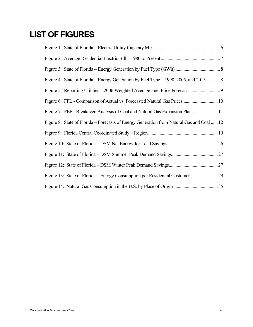## **LIST OF FIGURES**

| Figure 4: State of Florida – Energy Generation by Fuel Type – 1990, 2005, and 2015 8      |  |
|-------------------------------------------------------------------------------------------|--|
|                                                                                           |  |
|                                                                                           |  |
| Figure 7: PEF - Breakeven Analysis of Coal and Natural Gas Expansion Plans 11             |  |
| Figure 8: State of Florida – Forecasts of Energy Generation from Natural Gas and Coal  12 |  |
|                                                                                           |  |
|                                                                                           |  |
|                                                                                           |  |
|                                                                                           |  |
|                                                                                           |  |
|                                                                                           |  |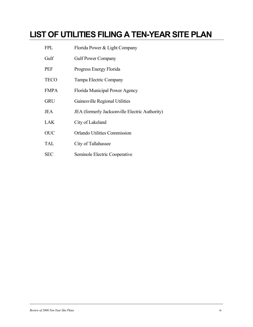## **LIST OF UTILITIES FILING A TEN-YEAR SITE PLAN**

| <b>FPL</b>  | Florida Power & Light Company                  |
|-------------|------------------------------------------------|
| Gulf        | <b>Gulf Power Company</b>                      |
| <b>PEF</b>  | Progress Energy Florida                        |
| <b>TECO</b> | Tampa Electric Company                         |
| <b>FMPA</b> | Florida Municipal Power Agency                 |
| <b>GRU</b>  | Gainesville Regional Utilities                 |
| <b>JEA</b>  | JEA (formerly Jacksonville Electric Authority) |
| <b>LAK</b>  | City of Lakeland                               |
| <b>OUC</b>  | <b>Orlando Utilities Commission</b>            |
| <b>TAL</b>  | City of Tallahassee                            |
| <b>SEC</b>  | Seminole Electric Cooperative                  |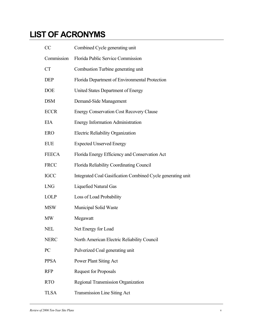## **LIST OF ACRONYMS**

| CC           | Combined Cycle generating unit                              |
|--------------|-------------------------------------------------------------|
| Commission   | Florida Public Service Commission                           |
| <b>CT</b>    | Combustion Turbine generating unit                          |
| <b>DEP</b>   | Florida Department of Environmental Protection              |
| <b>DOE</b>   | United States Department of Energy                          |
| <b>DSM</b>   | Demand-Side Management                                      |
| <b>ECCR</b>  | <b>Energy Conservation Cost Recovery Clause</b>             |
| <b>EIA</b>   | <b>Energy Information Administration</b>                    |
| <b>ERO</b>   | Electric Reliability Organization                           |
| <b>EUE</b>   | <b>Expected Unserved Energy</b>                             |
| <b>FEECA</b> | Florida Energy Efficiency and Conservation Act              |
| <b>FRCC</b>  | Florida Reliability Coordinating Council                    |
| <b>IGCC</b>  | Integrated Coal Gasification Combined Cycle generating unit |
| <b>LNG</b>   | <b>Liquefied Natural Gas</b>                                |
| <b>LOLP</b>  | Loss of Load Probability                                    |
| <b>MSW</b>   | Municipal Solid Waste                                       |
| <b>MW</b>    | Megawatt                                                    |
| <b>NEL</b>   | Net Energy for Load                                         |
| <b>NERC</b>  | North American Electric Reliability Council                 |
| PC           | Pulverized Coal generating unit                             |
| <b>PPSA</b>  | Power Plant Siting Act                                      |
| <b>RFP</b>   | <b>Request for Proposals</b>                                |
| <b>RTO</b>   | Regional Transmission Organization                          |
| <b>TLSA</b>  | <b>Transmission Line Siting Act</b>                         |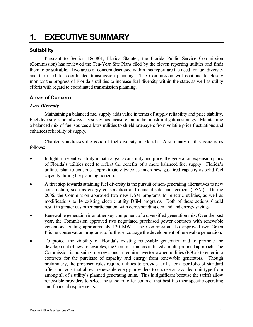## **1. EXECUTIVE SUMMARY**

#### **Suitability**

Pursuant to Section 186.801, Florida Statutes, the Florida Public Service Commission (Commission) has reviewed the Ten-Year Site Plans filed by the eleven reporting utilities and finds them to be **suitable**. Two areas of concern discussed within this report are the need for fuel diversity and the need for coordinated transmission planning. The Commission will continue to closely monitor the progress of Florida's utilities to increase fuel diversity within the state, as well as utility efforts with regard to coordinated transmission planning.

#### **Areas of Concern**

#### *Fuel Diversity*

Maintaining a balanced fuel supply adds value in terms of supply reliability and price stability. Fuel diversity is not always a cost-savings measure, but rather a risk mitigation strategy. Maintaining a balanced mix of fuel sources allows utilities to shield ratepayers from volatile price fluctuations and enhances reliability of supply.

Chapter 3 addresses the issue of fuel diversity in Florida. A summary of this issue is as follows:

- In light of recent volatility in natural gas availability and price, the generation expansion plans of Florida's utilities need to reflect the benefits of a more balanced fuel supply. Florida's utilities plan to construct approximately twice as much new gas-fired capacity as solid fuel capacity during the planning horizon.
- A first step towards attaining fuel diversity is the pursuit of non-generating alternatives to new construction, such as energy conservation and demand-side management (DSM). During 2006, the Commission approved two new DSM programs for electric utilities, as well as modifications to 14 existing electric utility DSM programs. Both of these actions should result in greater customer participation, with corresponding demand and energy savings.
- Renewable generation is another key component of a diversified generation mix. Over the past year, the Commission approved two negotiated purchased power contracts with renewable generators totaling approximately 120 MW. The Commission also approved two Green Pricing conservation programs to further encourage the development of renewable generation.
- To protect the viability of Florida's existing renewable generation and to promote the development of new renewables, the Commission has initiated a multi-pronged approach. The Commission is pursuing rule revisions to require investor-owned utilities (IOUs) to enter into contracts for the purchase of capacity and energy from renewable generators. Though preliminary, the proposed rules require utilities to provide tariffs for a portfolio of standard offer contracts that allows renewable energy providers to choose an avoided unit type from among all of a utility's planned generating units. This is significant because the tariffs allow renewable providers to select the standard offer contract that best fits their specific operating and financial requirements.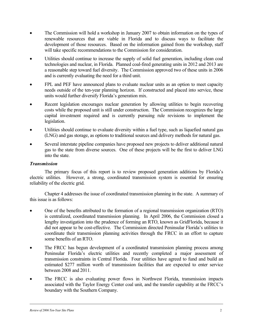- The Commission will hold a workshop in January 2007 to obtain information on the types of renewable resources that are viable in Florida and to discuss ways to facilitate the development of those resources. Based on the information gained from the workshop, staff will take specific recommendations to the Commission for consideration.
- Utilities should continue to increase the supply of solid fuel generation, including clean coal technologies and nuclear, in Florida. Planned coal-fired generating units in 2012 and 2013 are a reasonable step toward fuel diversity. The Commission approved two of these units in 2006 and is currently evaluating the need for a third unit.
- FPL and PEF have announced plans to evaluate nuclear units as an option to meet capacity needs outside of the ten-year planning horizon. If constructed and placed into service, these units would further diversify Florida's generation mix.
- Recent legislation encourages nuclear generation by allowing utilities to begin recovering costs while the proposed unit is still under construction. The Commission recognizes the large capital investment required and is currently pursuing rule revisions to implement the legislation.
- Utilities should continue to evaluate diversity within a fuel type, such as liquefied natural gas (LNG) and gas storage, as options to traditional sources and delivery methods for natural gas.
- Several interstate pipeline companies have proposed new projects to deliver additional natural gas to the state from diverse sources. One of these projects will be the first to deliver LNG into the state.

#### *Transmission*

The primary focus of this report is to review proposed generation additions by Florida's electric utilities. However, a strong, coordinated transmission system is essential for ensuring reliability of the electric grid.

Chapter 4 addresses the issue of coordinated transmission planning in the state. A summary of this issue is as follows:

- One of the benefits attributed to the formation of a regional transmission organization (RTO) is centralized, coordinated transmission planning. In April 2006, the Commission closed a lengthy investigation into the prudence of forming an RTO, known as GridFlorida, because it did not appear to be cost-effective. The Commission directed Peninsular Florida's utilities to coordinate their transmission planning activities through the FRCC in an effort to capture some benefits of an RTO.
- The FRCC has begun development of a coordinated transmission planning process among Peninsular Florida's electric utilities and recently completed a major assessment of transmission constraints in Central Florida. Four utilities have agreed to fund and build an estimated \$277 million worth of transmission facilities that are expected to enter service between 2008 and 2011.
- The FRCC is also evaluating power flows in Northwest Florida, transmission impacts associated with the Taylor Energy Center coal unit, and the transfer capability at the FRCC's boundary with the Southern Company.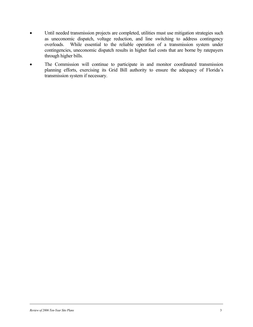- Until needed transmission projects are completed, utilities must use mitigation strategies such as uneconomic dispatch, voltage reduction, and line switching to address contingency overloads. While essential to the reliable operation of a transmission system under contingencies, uneconomic dispatch results in higher fuel costs that are borne by ratepayers through higher bills.
- The Commission will continue to participate in and monitor coordinated transmission planning efforts, exercising its Grid Bill authority to ensure the adequacy of Florida's transmission system if necessary.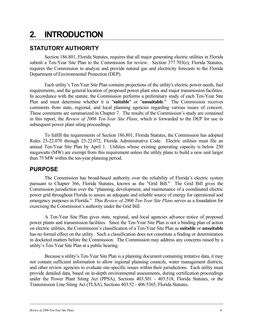## **2. INTRODUCTION**

## **STATUTORY AUTHORITY**

Section 186.801, Florida Statutes, requires that all major generating electric utilities in Florida submit a Ten-Year Site Plan to the Commission for review. Section 377.703(e), Florida Statutes, requires the Commission to analyze and provide natural gas and electricity forecasts to the Florida Department of Environmental Protection (DEP).

Each utility's Ten-Year Site Plan contains projections of the utility's electric power needs, fuel requirements, and the general location of proposed power plant sites and major transmission facilities. In accordance with the statute, the Commission performs a preliminary study of each Ten-Year Site Plan and must determine whether it is "**suitable**" or "**unsuitable**." The Commission receives comments from state, regional, and local planning agencies regarding various issues of concern. These comments are summarized in Chapter 7. The results of the Commission's study are contained in this report, the *Review of 2006 Ten-Year Site Plans*, which is forwarded to the DEP for use in subsequent power plant siting proceedings.

To fulfill the requirements of Section 186.801, Florida Statutes, the Commission has adopted Rules 25-22.070 through 25-22.072, Florida Administrative Code. Electric utilities must file an annual Ten-Year Site Plan by April 1. Utilities whose existing generating capacity is below 250 megawatts (MW) are exempt from this requirement unless the utility plans to build a new unit larger than 75 MW within the ten-year planning period.

### **PURPOSE**

The Commission has broad-based authority over the reliability of Florida's electric system pursuant to Chapter 366, Florida Statutes, known as the "Grid Bill." The Grid Bill gives the Commission jurisdiction over the "planning, development, and maintenance of a coordinated electric power grid throughout Florida to assure an adequate and reliable source of energy for operational and emergency purposes in Florida." This *Review of 2006 Ten-Year Site Plans* serves as a foundation for exercising the Commission's authority under the Grid Bill.

A Ten-Year Site Plan gives state, regional, and local agencies advance notice of proposed power plants and transmission facilities. Since the Ten-Year Site Plan is not a binding plan of action on electric utilities, the Commission's classification of a Ten-Year Site Plan as **suitable** or **unsuitable** has no formal effect on the utility. Such a classification does not constitute a finding or determination in docketed matters before the Commission. The Commission may address any concerns raised by a utility's Ten-Year Site Plan at a public hearing.

Because a utility's Ten-Year Site Plan is a planning document containing tentative data, it may not contain sufficient information to allow regional planning councils, water management districts, and other review agencies to evaluate site-specific issues within their jurisdictions. Each utility must provide detailed data, based on in-depth environmental assessments, during certification proceedings under the Power Plant Siting Act (PPSA), Sections 403.501 - 403.518, Florida Statutes, or the Transmission Line Siting Act (TLSA), Sections 403.52 - 406.5365, Florida Statutes.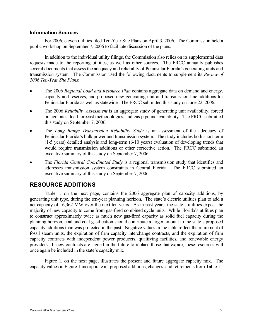#### **Information Sources**

For 2006, eleven utilities filed Ten-Year Site Plans on April 3, 2006. The Commission held a public workshop on September 7, 2006 to facilitate discussion of the plans.

In addition to the individual utility filings, the Commission also relies on its supplemental data requests made to the reporting utilities, as well as other sources. The FRCC annually publishes several documents that assess the adequacy and reliability of Peninsular Florida's generating units and transmission system. The Commission used the following documents to supplement its *Review of 2006 Ten-Year Site Plans*:

- The 2006 *Regional Load and Resource Plan* contains aggregate data on demand and energy, capacity and reserves, and proposed new generating unit and transmission line additions for Peninsular Florida as well as statewide. The FRCC submitted this study on June 22, 2006.
- The 2006 *Reliability Assessment* is an aggregate study of generating unit availability, forced outage rates, load forecast methodologies, and gas pipeline availability. The FRCC submitted this study on September 7, 2006.
- The *Long Range Transmission Reliability Study* is an assessment of the adequacy of Peninsular Florida's bulk power and transmission system. The study includes both short-term (1-5 years) detailed analysis and long-term (6-10 years) evaluation of developing trends that would require transmission additions or other corrective action. The FRCC submitted an executive summary of this study on September 7, 2006.
- The *Florida Central Coordinated Study* is a regional transmission study that identifies and addresses transmission system constraints in Central Florida. The FRCC submitted an executive summary of this study on September 7, 2006.

### **RESOURCE ADDITIONS**

Table 1, on the next page, contains the 2006 aggregate plan of capacity additions, by generating unit type, during the ten-year planning horizon. The state's electric utilities plan to add a net capacity of 16,362 MW over the next ten years. As in past years, the state's utilities expect the majority of new capacity to come from gas-fired combined cycle units. While Florida's utilities plan to construct approximately twice as much new gas-fired capacity as solid fuel capacity during the planning horizon, coal and coal gasification should contribute a larger amount to the state's proposed capacity additions than was projected in the past. Negative values in the table reflect the retirement of fossil steam units, the expiration of firm capacity interchange contracts, and the expiration of firm capacity contracts with independent power producers, qualifying facilities, and renewable energy providers. If new contracts are signed in the future to replace those that expire, these resources will once again be included in the state's capacity mix.

Figure 1, on the next page, illustrates the present and future aggregate capacity mix. The capacity values in Figure 1 incorporate all proposed additions, changes, and retirements from Table 1.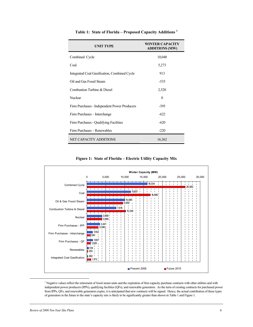| <b>UNIT TYPE</b>                             | <b>WINTER CAPACITY</b><br><b>ADDITIONS (MW)</b> |
|----------------------------------------------|-------------------------------------------------|
| Combined Cycle                               | 10,048                                          |
| Coal                                         | 5,273                                           |
| Integrated Coal Gasification, Combined Cycle | 913                                             |
| Oil and Gas Fossil Steam                     | $-535$                                          |
| Combustion Turbine & Diesel                  | 2,520                                           |
| Nuclear                                      | $\theta$                                        |
| Firm Purchases - Independent Power Producers | -395                                            |
| Firm Purchases – Interchange                 | $-622$                                          |
| Firm Purchases - Qualifying Facilities       | $-620$                                          |
| Firm Purchases – Renewables                  | $-220$                                          |
| NET CAPACITY ADDITIONS                       | 16,362                                          |

**Table 1: State of Florida – Proposed Capacity Additions <sup>1</sup>**

**Figure 1: State of Florida – Electric Utility Capacity Mix** 



 $1$  Negative values reflect the retirement of fossil steam units and the expiration of firm capacity purchase contracts with other utilities and with independent power producers (IPPs), qualifying facilities (QFs), and renewable generators. As the term of existing contracts for purchased power from IPPs, QFs, and renewable generators expire, it is anticipated that new contracts will be signed. Hence, the actual contribution of these types of generators in the future to the state's capacity mix is likely to be significantly greater than shown in Table 1 and Figure 1.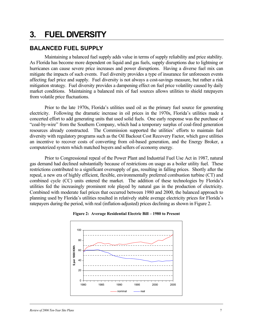## **3. FUEL DIVERSITY**

## **BALANCED FUEL SUPPLY**

Maintaining a balanced fuel supply adds value in terms of supply reliability and price stability. As Florida has become more dependent on liquid and gas fuels, supply disruptions due to lightning or hurricanes can cause severe price increases and power disruptions. Having a diverse fuel mix can mitigate the impacts of such events. Fuel diversity provides a type of insurance for unforeseen events affecting fuel price and supply. Fuel diversity is not always a cost-savings measure, but rather a risk mitigation strategy. Fuel diversity provides a dampening effect on fuel price volatility caused by daily market conditions. Maintaining a balanced mix of fuel sources allows utilities to shield ratepayers from volatile price fluctuations.

Prior to the late 1970s, Florida's utilities used oil as the primary fuel source for generating electricity. Following the dramatic increase in oil prices in the 1970s, Florida's utilities made a concerted effort to add generating units that used solid fuels. One early response was the purchase of "coal-by-wire" from the Southern Company, which had a temporary surplus of coal-fired generation resources already constructed. The Commission supported the utilities' efforts to maintain fuel diversity with regulatory programs such as the Oil Backout Cost Recovery Factor, which gave utilities an incentive to recover costs of converting from oil-based generation, and the Energy Broker, a computerized system which matched buyers and sellers of economy energy.

Prior to Congressional repeal of the Power Plant and Industrial Fuel Use Act in 1987, natural gas demand had declined substantially because of restrictions on usage as a boiler utility fuel. These restrictions contributed to a significant oversupply of gas, resulting in falling prices. Shortly after the repeal, a new era of highly efficient, flexible, environmentally preferred combustion turbine (CT) and combined cycle (CC) units entered the market. The addition of these technologies by Florida's utilities fed the increasingly prominent role played by natural gas in the production of electricity. Combined with moderate fuel prices that occurred between 1980 and 2000, the balanced approach to planning used by Florida's utilities resulted in relatively stable average electricity prices for Florida's ratepayers during the period, with real (inflation-adjusted) prices declining as shown in Figure 2.



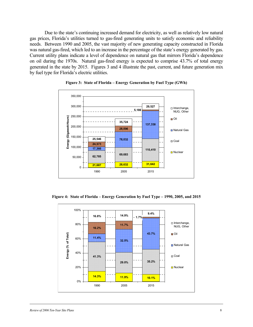Due to the state's continuing increased demand for electricity, as well as relatively low natural gas prices, Florida's utilities turned to gas-fired generating units to satisfy economic and reliability needs. Between 1990 and 2005, the vast majority of new generating capacity constructed in Florida was natural gas-fired, which led to an increase in the percentage of the state's energy generated by gas. Current utility plans indicate a level of dependence on natural gas that mirrors Florida's dependence on oil during the 1970s. Natural gas-fired energy is expected to comprise 43.7% of total energy generated in the state by 2015. Figures 3 and 4 illustrate the past, current, and future generation mix by fuel type for Florida's electric utilities.





**Figure 4: State of Florida – Energy Generation by Fuel Type – 1990, 2005, and 2015** 

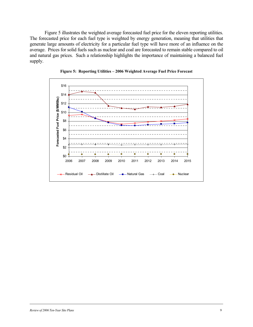Figure 5 illustrates the weighted average forecasted fuel price for the eleven reporting utilities. The forecasted price for each fuel type is weighted by energy generation, meaning that utilities that generate large amounts of electricity for a particular fuel type will have more of an influence on the average. Prices for solid fuels such as nuclear and coal are forecasted to remain stable compared to oil and natural gas prices. Such a relationship highlights the importance of maintaining a balanced fuel supply.



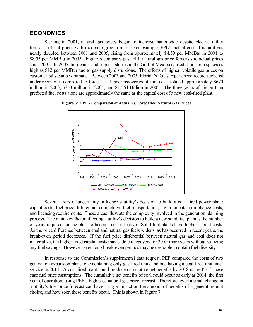#### **ECONOMICS**

Starting in 2001, natural gas prices began to increase nationwide despite electric utility forecasts of flat prices with moderate growth rates. For example, FPL's actual cost of natural gas nearly doubled between 2001 and 2005, rising from approximately \$4.50 per MMBtu in 2001 to \$8.55 per MMBtu in 2005. Figure 6 compares past FPL natural gas price forecasts to actual prices since 2001. In 2005, hurricanes and tropical storms in the Gulf of Mexico caused short-term spikes as high as \$12 per MMBtu due to gas supply disruptions. The effects of higher, volatile gas prices on customer bills can be dramatic. Between 2003 and 2005, Florida's IOUs experienced record fuel cost under-recoveries compared to forecasts. Under-recoveries of fuel costs totaled approximately \$670 million in 2003, \$353 million in 2004, and \$1.564 Billion in 2005. The three years of higher than predicted fuel costs alone are approximately the same as the capital cost of a new coal-fired plant.



**Figure 6: FPL - Comparison of Actual vs. Forecasted Natural Gas Prices** 

Several areas of uncertainty influence a utility's decision to build a coal–fired power plant: capital costs, fuel price differential, competitive fuel transportation, environmental compliance costs, and licensing requirements. These areas illustrate the complexity involved in the generation planning process. The main key factor affecting a utility's decision to build a new solid fuel plant is the number of years required for the plant to become cost-effective. Solid fuel plants have higher capital costs. As the price difference between coal and natural gas fuels widens, as has occurred in recent years, the break-even period decreases. If the fuel price differential between natural gas and coal does not materialize, the higher fixed capital costs may saddle ratepayers for 30 or more years without realizing any fuel savings. However, even long break-even periods may be desirable to obtain fuel diversity.

In response to the Commission's supplemental data request, PEF compared the costs of two generation expansion plans, one containing only gas-fired units and one having a coal-fired unit enter service in 2014. A coal-fired plant could produce cumulative net benefits by 2018 using PEF's base case fuel price assumptions. The cumulative net benefits of coal could occur as early as 2014, the first year of operation, using PEF's high case natural gas price forecast. Therefore, even a small change in a utility's fuel price forecast can have a large impact on the amount of benefits of a generating unit choice, and how soon these benefits occur. This is shown in Figure 7.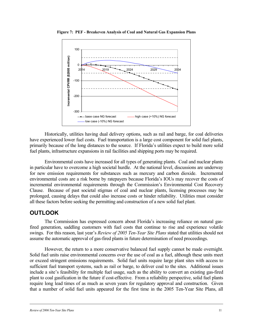

**Figure 7: PEF - Breakeven Analysis of Coal and Natural Gas Expansion Plans** 

Historically, utilities having dual delivery options, such as rail and barge, for coal deliveries have experienced lower fuel costs. Fuel transportation is a large cost component for solid fuel plants, primarily because of the long distances to the source. If Florida's utilities expect to build more solid fuel plants, infrastructure expansions in rail facilities and shipping ports may be required.

Environmental costs have increased for all types of generating plants. Coal and nuclear plants in particular have to overcome a high societal hurdle. At the national level, discussions are underway for new emission requirements for substances such as mercury and carbon dioxide. Incremental environmental costs are a risk borne by ratepayers because Florida's IOUs may recover the costs of incremental environmental requirements through the Commission's Environmental Cost Recovery Clause. Because of past societal stigmas of coal and nuclear plants, licensing processes may be prolonged, causing delays that could also increase costs or hinder reliability. Utilities must consider all these factors before seeking the permitting and construction of a new solid fuel plant.

## **OUTLOOK**

The Commission has expressed concern about Florida's increasing reliance on natural gasfired generation, saddling customers with fuel costs that continue to rise and experience volatile swings. For this reason, last year's *Review of 2005 Ten-Year Site Plans* stated that utilities should not assume the automatic approval of gas-fired plants in future determination of need proceedings.

However, the return to a more conservative balanced fuel supply cannot be made overnight. Solid fuel units raise environmental concerns over the use of coal as a fuel, although these units meet or exceed stringent emissions requirements. Solid fuel units require large plant sites with access to sufficient fuel transport systems, such as rail or barge, to deliver coal to the sites. Additional issues include a site's feasibility for multiple fuel usage, such as the ability to convert an existing gas-fired plant to coal gasification in the future if cost-effective. From a reliability perspective, solid fuel plants require long lead times of as much as seven years for regulatory approval and construction. Given that a number of solid fuel units appeared for the first time in the 2005 Ten-Year Site Plans, all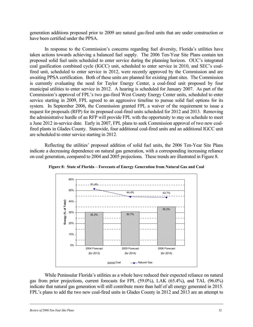generation additions proposed prior to 2009 are natural gas-fired units that are under construction or have been certified under the PPSA.

In response to the Commission's concerns regarding fuel diversity, Florida's utilities have taken actions towards achieving a balanced fuel supply. The 2006 Ten-Year Site Plans contain ten proposed solid fuel units scheduled to enter service during the planning horizon. OUC's integrated coal gasification combined cycle (IGCC) unit, scheduled to enter service in 2010, and SEC's coalfired unit, scheduled to enter service in 2012, were recently approved by the Commission and are awaiting PPSA certification. Both of these units are planned for existing plant sites. The Commission is currently evaluating the need for Taylor Energy Center, a coal-fired unit proposed by four municipal utilities to enter service in 2012. A hearing is scheduled for January 2007. As part of the Commission's approval of FPL's two gas-fired West County Energy Center units, scheduled to enter service starting in 2009, FPL agreed to an aggressive timeline to pursue solid fuel options for its system. In September 2006, the Commission granted FPL a waiver of the requirement to issue a request for proposals (RFP) for its proposed coal-fired units scheduled for 2012 and 2013. Removing the administrative hurdle of an RFP will provide FPL with the opportunity to stay on schedule to meet a June 2012 in-service date. Early in 2007, FPL plans to seek Commission approval of two new coalfired plants in Glades County. Statewide, four additional coal-fired units and an additional IGCC unit are scheduled to enter service starting in 2012.

Reflecting the utilities' proposed addition of solid fuel units, the 2006 Ten-Year Site Plans indicate a decreasing dependence on natural gas generation, with a corresponding increasing reliance on coal generation, compared to 2004 and 2005 projections. These trends are illustrated in Figure 8.



**Figure 8: State of Florida – Forecasts of Energy Generation from Natural Gas and Coal** 

While Peninsular Florida's utilities as a whole have reduced their expected reliance on natural gas from prior projections, current forecasts for FPL (59.0%), LAK (65.4%), and TAL (96.0%) indicate that natural gas generation will still contribute more than half of all energy generated in 2015. FPL's plans to add the two new coal-fired units in Glades County in 2012 and 2013 are an attempt to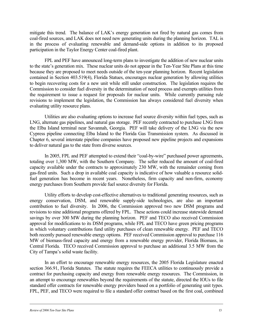mitigate this trend. The balance of LAK's energy generation not fired by natural gas comes from coal-fired sources, and LAK does not need new generating units during the planning horizon. TAL is in the process of evaluating renewable and demand-side options in addition to its proposed participation in the Taylor Energy Center coal-fired plant.

FPL and PEF have announced long-term plans to investigate the addition of new nuclear units to the state's generation mix. These nuclear units do not appear in the Ten-Year Site Plans at this time because they are proposed to meet needs outside of the ten-year planning horizon. Recent legislation contained in Section 403.519(4), Florida Statues, encourages nuclear generation by allowing utilities to begin recovering costs for a new unit while still under construction. The legislation requires the Commission to consider fuel diversity in the determination of need process and exempts utilities from the requirement to issue a request for proposals for nuclear units. While currently pursuing rule revisions to implement the legislation, the Commission has always considered fuel diversity when evaluating utility resource plans.

Utilities are also evaluating options to increase fuel source diversity within fuel types, such as LNG, alternate gas pipelines, and natural gas storage. PEF recently contracted to purchase LNG from the Elba Island terminal near Savannah, Georgia. PEF will take delivery of the LNG via the new Cypress pipeline connecting Elba Island to the Florida Gas Transmission system. As discussed in Chapter 6, several interstate pipeline companies have proposed new pipeline projects and expansions to deliver natural gas to the state from diverse sources.

In 2005, FPL and PEF attempted to extend their "coal-by-wire" purchased power agreements, totaling over 1,300 MW, with the Southern Company. The seller reduced the amount of coal-fired capacity available under the contracts to approximately 230 MW, with the remainder coming from gas-fired units. Such a drop in available coal capacity is indicative of how valuable a resource solidfuel generation has become in recent years. Nonetheless, firm capacity and non-firm, economy energy purchases from Southern provide fuel source diversity for Florida.

Utility efforts to develop cost-effective alternatives to traditional generating resources, such as energy conservation, DSM, and renewable supply-side technologies, are also an important contribution to fuel diversity. In 2006, the Commission approved two new DSM programs and revisions to nine additional programs offered by FPL. These actions could increase statewide demand savings by over 300 MW during the planning horizon. PEF and TECO also received Commission approval for modifications to its DSM programs, while FPL and TECO have green pricing programs in which voluntary contributions fund utility purchases of clean renewable energy. PEF and TECO both recently pursued renewable energy options. PEF received Commission approval to purchase 116 MW of biomass-fired capacity and energy from a renewable energy provider, Florida Biomass, in Central Florida. TECO received Commission approval to purchase an additional 3.5 MW from the City of Tampa's solid waste facility.

In an effort to encourage renewable energy resources, the 2005 Florida Legislature enacted section 366.91, Florida Statutes. The statute requires the FEECA utilities to continuously provide a contract for purchasing capacity and energy from renewable energy resources. The Commission, in an attempt to encourage renewables beyond the requirements of the statute, directed the IOUs to file standard offer contracts for renewable energy providers based on a portfolio of generating unit types. FPL, PEF, and TECO were required to file a standard offer contract based on the first coal, combined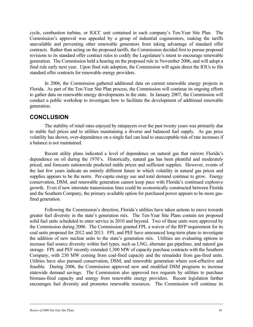cycle, combustion turbine, or IGCC unit contained in each company's Ten-Year Site Plan. The Commission's approval was appealed by a group of industrial cogenerators, making the tariffs unavailable and preventing other renewable generators from taking advantage of standard offer contracts. Rather than acting on the proposed tariffs, the Commission decided first to pursue proposed revisions to its standard offer contract rules to codify the Legislature's intent to encourage renewable generation. The Commission held a hearing on the proposed rule in November 2006, and will adopt a final rule early next year. Upon final rule adoption, the Commission will again direct the IOUs to file standard offer contracts for renewable energy providers.

In 2006, the Commission gathered additional data on current renewable energy projects in Florida. As part of the Ten-Year Site Plan process, the Commission will continue its ongoing efforts to gather data on renewable energy developments in the state. In January 2007, the Commission will conduct a public workshop to investigate how to facilitate the development of additional renewable generation.

### **CONCLUSION**

The stability of retail rates enjoyed by ratepayers over the past twenty years was primarily due to stable fuel prices and to utilities maintaining a diverse and balanced fuel supply. As gas price volatility has shown, over-dependence on a single fuel can lead to unacceptable risk of rate increases if a balance is not maintained.

Recent utility plans indicated a level of dependence on natural gas that mirrors Florida's dependence on oil during the 1970's. Historically, natural gas has been plentiful and moderately priced, and forecasts nationwide predicted stable prices and sufficient supplies. However, events of the last few years indicate an entirely different future in which volatility in natural gas prices and supplies appears to be the norm. Per-capita energy use and total demand continue to grow. Energy conservation, DSM, and renewable generation cannot keep pace with Florida's continued explosive growth. Even if new interstate transmission lines could be economically constructed between Florida and the Southern Company, the primary available option for purchased power appears to be more gasfired generation.

Following the Commission's direction, Florida's utilities have taken actions to move towards greater fuel diversity in the state's generation mix. The Ten-Year Site Plans contain ten proposed solid fuel units scheduled to enter service in 2010 and beyond. Two of these units were approved by the Commission during 2006. The Commission granted FPL a waiver of the RFP requirement for its coal units proposed for 2012 and 2013. FPL and PEF have announced long-term plans to investigate the addition of new nuclear units to the state's generation mix. Utilities are evaluating options to increase fuel source diversity within fuel types, such as LNG, alternate gas pipelines, and natural gas storage. FPL and PEF recently extended 1,300 MW of capacity purchase contracts with the Southern Company, with 230 MW coming from coal-fired capacity and the remainder from gas-fired units. Utilities have also pursued conservation, DSM, and renewable generation where cost-effective and feasible. During 2006, the Commission approved new and modified DSM programs to increase statewide demand savings. The Commission also approved two requests by utilities to purchase biomass-fired capacity and energy from renewable energy providers. Recent legislation further encourages fuel diversity and promotes renewable resources. The Commission will continue its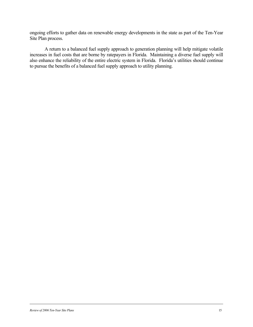ongoing efforts to gather data on renewable energy developments in the state as part of the Ten-Year Site Plan process.

A return to a balanced fuel supply approach to generation planning will help mitigate volatile increases in fuel costs that are borne by ratepayers in Florida. Maintaining a diverse fuel supply will also enhance the reliability of the entire electric system in Florida. Florida's utilities should continue to pursue the benefits of a balanced fuel supply approach to utility planning.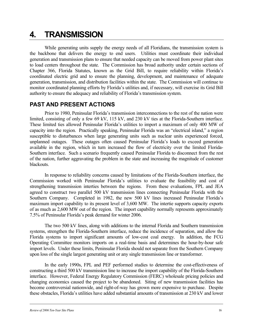## **4. TRANSMISSION**

While generating units supply the energy needs of all Floridians, the transmission system is the backbone that delivers the energy to end users. Utilities must coordinate their individual generation and transmission plans to ensure that needed capacity can be moved from power plant sites to load centers throughout the state. The Commission has broad authority under certain sections of Chapter 366, Florida Statutes, known as the Grid Bill, to require reliability within Florida's coordinated electric grid and to ensure the planning, development, and maintenance of adequate generation, transmission, and distribution facilities within the state. The Commission will continue to monitor coordinated planning efforts by Florida's utilities and, if necessary, will exercise its Grid Bill authority to ensure the adequacy and reliability of Florida's transmission system.

### **PAST AND PRESENT ACTIONS**

Prior to 1980, Peninsular Florida's transmission interconnections to the rest of the nation were limited, consisting of only a few 69 kV, 115 kV, and 230 kV ties at the Florida-Southern interface. These limited ties allowed Peninsular Florida's utilities to import a maximum of only 400 MW of capacity into the region. Practically speaking, Peninsular Florida was an "electrical island," a region susceptible to disturbances when large generating units such as nuclear units experienced forced, unplanned outages. These outages often caused Peninsular Florida's loads to exceed generation available in the region, which in turn increased the flow of electricity over the limited Florida-Southern interface. Such a scenario frequently caused Peninsular Florida to disconnect from the rest of the nation, further aggravating the problem in the state and increasing the magnitude of customer blackouts.

In response to reliability concerns caused by limitations of the Florida-Southern interface, the Commission worked with Peninsular Florida's utilities to evaluate the feasibility and cost of strengthening transmission interties between the regions. From these evaluations, FPL and JEA agreed to construct two parallel 500 kV transmission lines connecting Peninsular Florida with the Southern Company. Completed in 1982, the new 500 kV lines increased Peninsular Florida's maximum import capability to its present level of 3,600 MW. The intertie supports capacity exports of as much as 2,600 MW out of the region. The import capability normally represents approximately 7.5% of Peninsular Florida's peak demand for winter 2006.

The two 500 kV lines, along with additions to the internal Florida and Southern transmission systems, strengthen the Florida-Southern interface, reduce the incidence of separation, and allow the Florida systems to import significant amounts of low-cost coal energy. In addition, the FCG Operating Committee monitors imports on a real-time basis and determines the hour-by-hour safe import levels. Under these limits, Peninsular Florida should not separate from the Southern Company upon loss of the single largest generating unit or any single transmission line or transformer.

In the early 1990s, FPL and PEF performed studies to determine the cost-effectiveness of constructing a third 500 kV transmission line to increase the import capability of the Florida-Southern interface. However, Federal Energy Regulatory Commission (FERC) wholesale pricing policies and changing economics caused the project to be abandoned. Siting of new transmission facilities has become controversial nationwide, and right-of-way has grown more expensive to purchase. Despite these obstacles, Florida's utilities have added substantial amounts of transmission at 230 kV and lower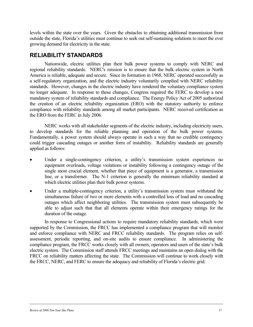levels within the state over the years. Given the obstacles to obtaining additional transmission from outside the state, Florida's utilities must continue to seek out self-sustaining solutions to meet the ever growing demand for electricity in the state.

### **RELIABILITY STANDARDS**

Nationwide, electric utilities plan their bulk power systems to comply with NERC and regional reliability standards. NERC's mission is to ensure that the bulk electric system in North America is reliable, adequate and secure. Since its formation in 1968, NERC operated successfully as a self-regulatory organization, and the electric industry voluntarily complied with NERC reliability standards. However, changes in the electric industry have rendered the voluntary compliance system no longer adequate. In response to these changes, Congress required the FERC to develop a new mandatory system of reliability standards and compliance. The Energy Policy Act of 2005 authorized the creation of an electric reliability organization (ERO) with the statutory authority to enforce compliance with reliability standards among all market participants. NERC received certification as the ERO from the FERC in July 2006.

NERC works with all stakeholder segments of the electric industry, including electricity users, to develop standards for the reliable planning and operation of the bulk power systems. Fundamentally, a power system should always operate in such a way that no credible contingency could trigger cascading outages or another form of instability. Reliability standards are generally applied as follows:

- Under a single-contingency criterion, a utility's transmission system experiences no equipment overloads, voltage violations or instability following a contingency outage of the single most crucial element, whether that piece of equipment is a generator, a transmission line, or a transformer. The N-1 criterion is generally the minimum reliability standard at which electric utilities plan their bulk power systems.
- Under a multiple-contingency criterion, a utility's transmission system must withstand the simultaneous failure of two or more elements with a controlled loss of load and no cascading outages which affect neighboring utilities. The transmission system must subsequently be able to adjust such that that all elements operate within their emergency ratings for the duration of the outage.

In response to Congressional actions to require mandatory reliability standards, which were supported by the Commission, the FRCC has implemented a compliance program that will monitor and enforce compliance with NERC and FRCC reliability standards. The program relies on selfassessment, periodic reporting, and on-site audits to ensure compliance. In administering the compliance program, the FRCC works closely with all owners, operators and users of the state's bulk electric system. The Commission staff attends FRCC meetings and maintains an open dialog with the FRCC on reliability matters affecting the state. The Commission will continue to work closely with the FRCC, NERC, and FERC to ensure the adequacy and reliability of Florida's electric grid.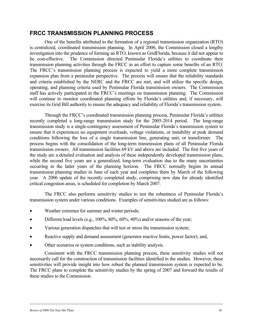### **FRCC TRANSMISSION PLANNING PROCESS**

One of the benefits attributed to the formation of a regional transmission organization (RTO) is centralized, coordinated transmission planning. In April 2006, the Commission closed a lengthy investigation into the prudence of forming an RTO, known as GridFlorida, because it did not appear to be cost-effective. The Commission directed Peninsular Florida's utilities to coordinate their transmission planning activities through the FRCC in an effort to capture some benefits of an RTO. The FRCC's transmission planning process is expected to yield a more complete transmission expansion plan from a peninsular perspective. The process will ensure that the reliability standards and criteria established by the NERC and the FRCC are met, and will utilize the specific design, operating, and planning criteria used by Peninsular Florida transmission owners. The Commission staff has actively participated in the FRCC's meetings on transmission planning. The Commission will continue to monitor coordinated planning efforts by Florida's utilities and, if necessary, will exercise its Grid Bill authority to ensure the adequacy and reliability of Florida's transmission system.

Through the FRCC's coordinated transmission planning process, Peninsular Florida's utilities recently completed a long-range transmission study for the 2005-2014 period. The long-range transmission study is a single-contingency assessment of Peninsular Florida's transmission system to ensure that it experiences no equipment overloads, voltage violations, or instability at peak demand conditions following the loss of a single transmission line, generating unit, or transformer. The process begins with the consolidation of the long-term transmission plans of all Peninsular Florida transmission owners. All transmission facilities 69 kV and above are included. The first five years of the study are a detailed evaluation and analysis of these independently developed transmission plans, while the second five years are a generalized, long-term evaluation due to the many uncertainties occurring in the latter years of the planning horizon. The FRCC normally begins its annual transmission planning studies in June of each year and completes them by March of the following year. A 2006 update of the recently completed study, comprising new data for already identified critical congestion areas, is scheduled for completion by March 2007.

The FRCC also performs sensitivity studies to test the robustness of Peninsular Florida's transmission system under various conditions. Examples of sensitivities studied are as follows:

- Weather extremes for summer and winter periods;
- Different load levels (e.g., 100%, 80%, 60%, 40%) and/or seasons of the year;
- Various generation dispatches that will test or stress the transmission system;
- Reactive supply and demand assessment (generator reactive limits, power factor); and,
- Other scenarios or system conditions, such as stability analysis.

Consistent with the FRCC transmission planning process, these sensitivity studies will not necessarily call for the construction of transmission facilities identified in the studies. However, these sensitivities will provide insight into how robust the planned transmission system is expected to be. The FRCC plans to complete the sensitivity studies by the spring of 2007 and forward the results of these studies to the Commission.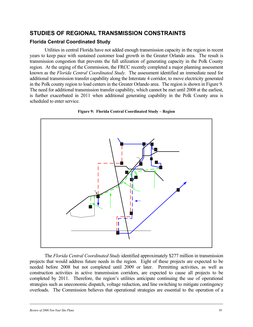### **STUDIES OF REGIONAL TRANSMISSION CONSTRAINTS**

#### **Florida Central Coordinated Study**

Utilities in central Florida have not added enough transmission capacity in the region in recent years to keep pace with sustained customer load growth in the Greater Orlando area. The result is transmission congestion that prevents the full utilization of generating capacity in the Polk County region. At the urging of the Commission, the FRCC recently completed a major planning assessment known as the *Florida Central Coordinated Study*. The assessment identified an immediate need for additional transmission transfer capability along the Interstate 4 corridor, to move electricity generated in the Polk county region to load centers in the Greater Orlando area. The region is shown in Figure 9. The need for additional transmission transfer capability, which cannot be met until 2008 at the earliest, is further exacerbated in 2011 when additional generating capability in the Polk County area is scheduled to enter service.



**Figure 9: Florida Central Coordinated Study – Region** 

The *Florida Central Coordinated Study* identified approximately \$277 million in transmission projects that would address future needs in the region. Eight of these projects are expected to be needed before 2008 but not completed until 2009 or later. Permitting activities, as well as construction activities in active transmission corridors, are expected to cause all projects to be completed by 2011. Therefore, the region's utilities anticipate continuing the use of operational strategies such as uneconomic dispatch, voltage reduction, and line switching to mitigate contingency overloads. The Commission believes that operational strategies are essential to the operation of a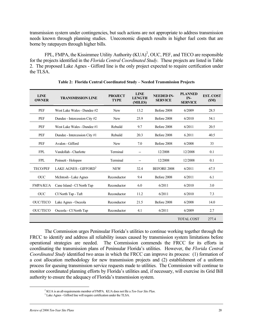transmission system under contingencies, but such actions are not appropriate to address transmission needs known through planning studies. Uneconomic dispatch results in higher fuel costs that are borne by ratepayers through higher bills.

FPL, FMPA, the Kissimmee Utility Authority  $(KUA)^2$ , OUC, PEF, and TECO are responsible for the projects identified in the *Florida Central Coordinated Study*. These projects are listed in Table 2. The proposed Lake Agnes - Gifford line is the only project expected to require certification under the TLSA.

| <b>LINE</b><br><b>OWNER</b> | <b>TRANSMISSION LINE</b>          | <b>PROJECT</b><br><b>TYPE</b> | <b>LINE</b><br><b>LENGTH</b><br>(MILES) | <b>NEEDED IN-</b><br><b>SERVICE</b> | <b>PLANNED</b><br>IN-<br><b>SERVICE</b> | <b>EST. COST</b><br>(SM) |
|-----------------------------|-----------------------------------|-------------------------------|-----------------------------------------|-------------------------------------|-----------------------------------------|--------------------------|
| <b>PEF</b>                  | West Lake Wales - Dundee #2       | <b>New</b>                    | 13.2                                    | Before 2008                         | 6/2009                                  | 28.5                     |
| <b>PEF</b>                  | Dundee - Intercession City #2     | <b>New</b>                    | 25.9                                    | Before 2008                         | 6/2010                                  | 54.1                     |
| <b>PEF</b>                  | West Lake Wales - Dundee #1       | Rebuild                       | 9.7                                     | Before 2008                         | 6/2011                                  | 20.5                     |
| <b>PEF</b>                  | Dundee - Intercession City #1     | Rebuild                       | 20.3                                    | Before 2008                         | 6.2011                                  | 40.5                     |
| PEF                         | Avalon - Gifford                  | <b>New</b>                    | 7.0                                     | Before 2008                         | 6/2008                                  | 33                       |
| <b>FPL</b>                  | Vandollah - Charlotte             | Terminal                      | --                                      | 12/2008                             | 12/2008                                 | 0.1                      |
| <b>FPL</b>                  | Poinsett - Holopaw                | Terminal                      | --                                      | 12/2008                             | 12/2008                                 | 0.1                      |
| <b>TECO/PEF</b>             | LAKE AGNES - GIFFORD <sup>3</sup> | <b>NEW</b>                    | 32.4                                    | <b>BEFORE 2008</b>                  | 6/2011                                  | 67.5                     |
| <b>OUC</b>                  | McIntosh - Lake Agnes             | Reconductor                   | 9.4                                     | Before 2008                         | 6/2011                                  | 6.1                      |
| <b>FMPA/KUA</b>             | Cane Island - CI North Tap        | Reconductor                   | 6.0                                     | 6/2011                              | 6/2010                                  | 3.0                      |
| <b>OUC</b>                  | CI North Tap - Taft               | Reconductor                   | 11.2                                    | 6/2011                              | 6/2010                                  | 7.3                      |
| <b>OUC/TECO</b>             | Lake Agnes - Osceola              | Reconductor                   | 21.5                                    | Before 2008                         | 6/2008                                  | 14.0                     |
| <b>OUC/TECO</b>             | Osceola - CI North Tap            | Reconductor                   | 4.1                                     | 6/2011                              | 6/2009                                  | 2.7                      |
|                             |                                   |                               |                                         |                                     | <b>TOTAL COST</b>                       | 277.4                    |

|  |  |  | Table 2: Florida Central Coordinated Study - Needed Transmission Projects |  |
|--|--|--|---------------------------------------------------------------------------|--|
|  |  |  |                                                                           |  |

The Commission urges Peninsular Florida's utilities to continue working together through the FRCC to identify and address all reliability issues caused by transmission system limitations before operational strategies are needed. The Commission commends the FRCC for its efforts in coordinating the transmission plans of Peninsular Florida's utilities. However, the *Florida Central Coordinated Study* identified two areas in which the FRCC can improve its process: (1) formation of a cost allocation methodology for new transmission projects and (2) establishment of a uniform process for queuing transmission service requests made to utilities. The Commission will continue to monitor coordinated planning efforts by Florida's utilities and, if necessary, will exercise its Grid Bill authority to ensure the adequacy of Florida's transmission system.

 $\frac{1}{2}$ <sup>2</sup> KUA is an all-requirements member of FMPA. KUA does not file a *Ten-Year Site Plan*.

Lake Agnes - Gifford line will require certification under the TLSA.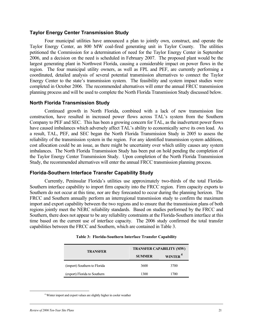#### **Taylor Energy Center Transmission Study**

Four municipal utilities have announced a plan to jointly own, construct, and operate the Taylor Energy Center, an 800 MW coal-fired generating unit in Taylor County. The utilities petitioned the Commission for a determination of need for the Taylor Energy Center in September 2006, and a decision on the need is scheduled in February 2007. The proposed plant would be the largest generating plant in Northwest Florida, causing a considerable impact on power flows in the region. The four municipal utility owners, as well as FPL and PEF, are currently performing a coordinated, detailed analysis of several potential transmission alternatives to connect the Taylor Energy Center to the state's transmission system. The feasibility and system impact studies were completed in October 2006. The recommended alternatives will enter the annual FRCC transmission planning process and will be used to complete the North Florida Transmission Study discussed below.

#### **North Florida Transmission Study**

Continued growth in North Florida, combined with a lack of new transmission line construction, have resulted in increased power flows across TAL's system from the Southern Company to PEF and SEC. This has been a growing concern for TAL, as the inadvertent power flows have caused imbalances which adversely affect TAL's ability to economically serve its own load. As a result, TAL, PEF, and SEC began the North Florida Transmission Study in 2005 to assess the reliability of the transmission system in the region. For any identified transmission system additions, cost allocation could be an issue, as there might be uncertainty over which utility causes any system imbalances. The North Florida Transmission Study has been put on hold pending the completion of the Taylor Energy Center Transmission Study. Upon completion of the North Florida Transmission Study, the recommended alternatives will enter the annual FRCC transmission planning process.

#### **Florida-Southern Interface Transfer Capability Study**

Currently, Peninsular Florida's utilities use approximately two-thirds of the total Florida-Southern interface capability to import firm capacity into the FRCC region. Firm capacity exports to Southern do not occur at this time, nor are they forecasted to occur during the planning horizon. The FRCC and Southern annually perform an interregional transmission study to confirm the maximum import and export capability between the two regions and to ensure that the transmission plans of both regions jointly meet the NERC reliability standards. Based on studies performed by the FRCC and Southern, there does not appear to be any reliability constraints at the Florida-Southern interface at this time based on the current use of interface capacity. The 2006 study confirmed the total transfer capabilities between the FRCC and Southern, which are contained in Table 3.

| <b>TRANSFER</b>              | <b>TRANSFER CAPABILITY (MW)</b> |                     |  |  |
|------------------------------|---------------------------------|---------------------|--|--|
|                              | <b>SUMMER</b>                   | WINTER <sup>4</sup> |  |  |
| (import) Southern to Florida | 3600                            | 3700                |  |  |
| (export) Florida to Southern | 1300                            | 1700                |  |  |

|  | Table 3: Florida-Southern Interface Transfer Capability |  |  |  |
|--|---------------------------------------------------------|--|--|--|
|--|---------------------------------------------------------|--|--|--|

4

Winter import and export values are slightly higher in cooler weather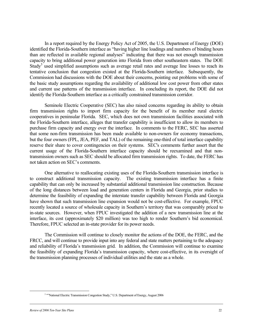In a report required by the Energy Policy Act of 2005, the U.S. Department of Energy (DOE) identified the Florida-Southern interface as "having higher line loadings and numbers of binding hours than are reflected in available regional analyses" indicating that there was not enough transmission capacity to bring additional power generation into Florida from other southeastern states. The DOE Study<sup>5</sup> used simplified assumptions such as average retail rates and average line losses to reach its tentative conclusion that congestion existed at the Florida-Southern interface. Subsequently, the Commission had discussions with the DOE about their concerns, pointing out problems with some of the basic study assumptions regarding the availability of additional low cost power from other states and current use patterns of the transmission interface. In concluding its report, the DOE did not identify the Florida-Southern interface as a critically constrained transmission corridor.

Seminole Electric Cooperative (SEC) has also raised concerns regarding its ability to obtain firm transmission rights to import firm capacity for the benefit of its member rural electric cooperatives in peninsular Florida. SEC, which does not own transmission facilities associated with the Florida-Southern interface, alleges that transfer capability is insufficient to allow its members to purchase firm capacity and energy over the interface. In comments to the FERC, SEC has asserted that some non-firm transmission has been made available to non-owners for economy transactions, but the four owners (FPL, JEA, PEF, and TAL) of the remaining one-third of total interface capability reserve their share to cover contingencies on their systems. SEC's comments further assert that the current usage of the Florida-Southern interface capacity should be reexamined and that nontransmission owners such as SEC should be allocated firm transmission rights. To date, the FERC has not taken action on SEC's comments.

One alternative to reallocating existing uses of the Florida-Southern transmission interface is to construct additional transmission capacity. The existing transmission interface has a finite capability that can only be increased by substantial additional transmission line construction. Because of the long distances between load and generation centers in Florida and Georgia, prior studies to determine the feasibility of expanding the interstate transfer capability between Florida and Georgia have shown that such transmission line expansion would not be cost-effective. For example, FPUC recently located a source of wholesale capacity in Southern's territory that was comparably priced to in-state sources. However, when FPUC investigated the addition of a new transmission line at the interface, its cost (approximately \$20 million) was too high to render Southern's bid economical. Therefore, FPUC selected an in-state provider for its power needs.

The Commission will continue to closely monitor the actions of the DOE, the FERC, and the FRCC, and will continue to provide input into any federal and state matters pertaining to the adequacy and reliability of Florida's transmission grid. In addition, the Commission will continue to examine the feasibility of expanding Florida's transmission capacity, where cost-effective, in its oversight of the transmission planning processes of individual utilities and the state as a whole.

 $\frac{1}{5}$ <sup>5</sup> ""National Electric Transmission Congestion Study," U.S. Department of Energy, August 2006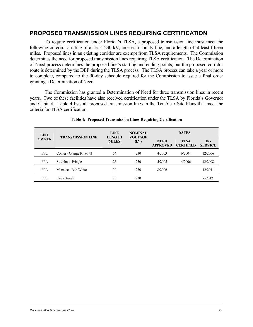#### **PROPOSED TRANSMISSION LINES REQUIRING CERTIFICATION**

To require certification under Florida's TLSA, a proposed transmission line must meet the following criteria: a rating of at least 230 kV, crosses a county line, and a length of at least fifteen miles. Proposed lines in an existing corridor are exempt from TLSA requirements. The Commission determines the need for proposed transmission lines requiring TLSA certification. The Determination of Need process determines the proposed line's starting and ending points, but the proposed corridor route is determined by the DEP during the TLSA process. The TLSA process can take a year or more to complete, compared to the 90-day schedule required for the Commission to issue a final order granting a Determination of Need.

The Commission has granted a Determination of Need for three transmission lines in recent years. Two of these facilities have also received certification under the TLSA by Florida's Governor and Cabinet. Table 4 lists all proposed transmission lines in the Ten-Year Site Plans that meet the criteria for TLSA certification.

| <b>LINE</b>  | <b>TRANSMISSION LINE</b>  | <b>LINE</b><br><b>LENGTH</b><br>(MILES) | <b>NOMINAL</b><br><b>VOLTAGE</b><br>(kV) | <b>DATES</b>                   |                                 |                       |  |
|--------------|---------------------------|-----------------------------------------|------------------------------------------|--------------------------------|---------------------------------|-----------------------|--|
| <b>OWNER</b> |                           |                                         |                                          | <b>NEED</b><br><b>APPROVED</b> | <b>TLSA</b><br><b>CERTIFIED</b> | IN-<br><b>SERVICE</b> |  |
| <b>FPL</b>   | Collier - Orange River #3 | 54                                      | 230                                      | 4/2003                         | 6/2004                          | 12/2006               |  |
| <b>FPL</b>   | St. Johns - Pringle       | 26                                      | 230                                      | 5/2005                         | 4/2006                          | 12/2008               |  |
| FPL          | Manatee - Bob White       | 30                                      | 230                                      | 8/2006                         |                                 | 12/2011               |  |
| FPL          | Eve - Sweatt              | 25                                      | 230                                      |                                |                                 | 6/2012                |  |

#### **Table 4: Proposed Transmission Lines Requiring Certification**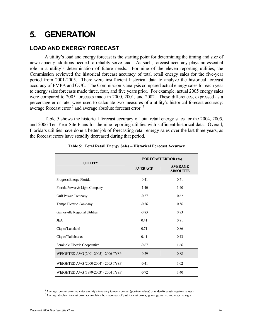## **5. GENERATION**

### **LOAD AND ENERGY FORECAST**

A utility's load and energy forecast is the starting point for determining the timing and size of new capacity additions needed to reliably serve load. As such, forecast accuracy plays an essential role in a utility's determination of future needs. For nine of the eleven reporting utilities, the Commission reviewed the historical forecast accuracy of total retail energy sales for the five-year period from 2001-2005. There were insufficient historical data to analyze the historical forecast accuracy of FMPA and OUC. The Commission's analysis compared actual energy sales for each year to energy sales forecasts made three, four, and five years prior. For example, actual 2005 energy sales were compared to 2005 forecasts made in 2000, 2001, and 2002. These differences, expressed as a percentage error rate, were used to calculate two measures of a utility's historical forecast accuracy: average forecast error  $6$  and average absolute forecast error.<sup>7</sup>

Table 5 shows the historical forecast accuracy of total retail energy sales for the 2004, 2005, and 2006 Ten-Year Site Plans for the nine reporting utilities with sufficient historical data. Overall, Florida's utilities have done a better job of forecasting retail energy sales over the last three years, as the forecast errors have steadily decreased during that period.

|                                      | <b>FORECAST ERROR (%)</b> |                                   |  |  |
|--------------------------------------|---------------------------|-----------------------------------|--|--|
| <b>UTILITY</b>                       | <b>AVERAGE</b>            | <b>AVERAGE</b><br><b>ABSOLUTE</b> |  |  |
| Progress Energy Florida              | $-0.41$                   | 0.71                              |  |  |
| Florida Power & Light Company        | $-1.40$                   | 1.40                              |  |  |
| <b>Gulf Power Company</b>            | $-0.27$                   | 0.62                              |  |  |
| Tampa Electric Company               | $-0.56$                   | 0.56                              |  |  |
| Gainesville Regional Utilities       | $-0.83$                   | 0.83                              |  |  |
| <b>JEA</b>                           | 0.41                      | 0.81                              |  |  |
| City of Lakeland                     | 0.71                      | 0.86                              |  |  |
| City of Tallahassee                  | 0.41                      | 0.43                              |  |  |
| Seminole Electric Cooperative        | $-0.67$                   | 1.66                              |  |  |
| WEIGHTED AVG (2001-2005) - 2006 TYSP | $-0.29$                   | 0.88                              |  |  |
| WEIGHTED AVG (2000-2004) - 2005 TYSP | $-0.41$                   | 1.02                              |  |  |
| WEIGHTED AVG (1999-2003) - 2004 TYSP | $-0.72$                   | 1.40                              |  |  |

#### **Table 5: Total Retail Energy Sales – Historical Forecast Accuracy**

 $\overline{\phantom{a}}$ Average forecast error indicates a utility's tendency to over-forecast (positive values) or under-forecast (negative values). 7

 $\alpha$  Average absolute forecast error accumulates the magnitude of past forecast errors, ignoring positive and negative signs.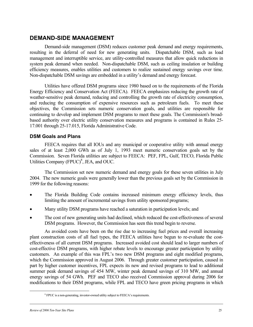### **DEMAND-SIDE MANAGEMENT**

Demand-side management (DSM) reduces customer peak demand and energy requirements, resulting in the deferral of need for new generating units. Dispatchable DSM, such as load management and interruptible service, are utility-controlled measures that allow quick reductions in system peak demand when needed. Non-dispatchable DSM, such as ceiling insulation or building efficiency measures, enables utilities and customers to realize sustained energy savings over time. Non-dispatchable DSM savings are embedded in a utility's demand and energy forecast.

Utilities have offered DSM programs since 1980 based on to the requirements of the Florida Energy Efficiency and Conservation Act (FEECA). FEECA emphasizes reducing the growth rate of weather-sensitive peak demand, reducing and controlling the growth rate of electricity consumption, and reducing the consumption of expensive resources such as petroleum fuels. To meet these objectives, the Commission sets numeric conservation goals, and utilities are responsible for continuing to develop and implement DSM programs to meet these goals. The Commission's broadbased authority over electric utility conservation measures and programs is contained in Rules 25- 17.001 through 25-17.015, Florida Administrative Code.

#### **DSM Goals and Plans**

FEECA requires that all IOUs and any municipal or cooperative utility with annual energy sales of at least 2,000 GWh as of July 1, 1993 meet numeric conservation goals set by the Commission. Seven Florida utilities are subject to FEECA: PEF, FPL, Gulf, TECO, Florida Public Utilities Company  $(FPUC)^8$ , JEA, and OUC.

The Commission set new numeric demand and energy goals for these seven utilities in July 2004. The new numeric goals were generally lower than the previous goals set by the Commission in 1999 for the following reasons:

- The Florida Building Code contains increased minimum energy efficiency levels, thus limiting the amount of incremental savings from utility sponsored programs;
- Many utility DSM programs have reached a saturation in participation levels; and
- The cost of new generating units had declined, which reduced the cost-effectiveness of several DSM programs. However, the Commission has seen this trend begin to reverse.

As avoided costs have been on the rise due to increasing fuel prices and overall increasing plant construction costs of all fuel types, the FEECA utilities have begun to re-evaluate the costeffectiveness of all current DSM programs. Increased avoided cost should lead to larger numbers of cost-effective DSM programs, with higher rebate levels to encourage greater participation by utility customers. An example of this was FPL's two new DSM programs and eight modified programs, which the Commission approved in August 2006. Through greater customer participation, caused in part by higher customer incentives, FPL expects its new and revised programs to lead to additional summer peak demand savings of 454 MW, winter peak demand savings of 310 MW, and annual energy savings of 54 GWh. PEF and TECO also received Commission approval during 2006 for modifications to their DSM programs, while FPL and TECO have green pricing programs in which

 $\frac{1}{8}$ <sup>8</sup> FPUC is a non-generating, investor-owned utility subject to FEECA's requirements.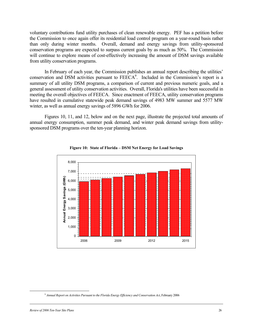voluntary contributions fund utility purchases of clean renewable energy. PEF has a petition before the Commission to once again offer its residential load control program on a year-round basis rather than only during winter months. Overall, demand and energy savings from utility-sponsored conservation programs are expected to surpass current goals by as much as 50%. The Commission will continue to explore means of cost-effectively increasing the amount of DSM savings available from utility conservation programs.

In February of each year, the Commission publishes an annual report describing the utilities' conservation and DSM activities pursuant to  $FEECA<sup>9</sup>$ . Included in the Commission's report is a summary of all utility DSM programs, a comparison of current and previous numeric goals, and a general assessment of utility conservation activities. Overall, Florida's utilities have been successful in meeting the overall objectives of FEECA. Since enactment of FEECA, utility conservation programs have resulted in cumulative statewide peak demand savings of 4983 MW summer and 5577 MW winter, as well as annual energy savings of 5896 GWh for 2006.

Figures 10, 11, and 12, below and on the next page, illustrate the projected total amounts of annual energy consumption, summer peak demand, and winter peak demand savings from utilitysponsored DSM programs over the ten-year planning horizon.





 <sup>9</sup> *Annual Report on Activities Pursuant to the Florida Energy Efficiency and Conservation Act*, February 2006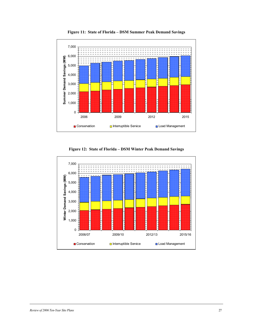

**Figure 11: State of Florida – DSM Summer Peak Demand Savings** 

**Figure 12: State of Florida – DSM Winter Peak Demand Savings** 

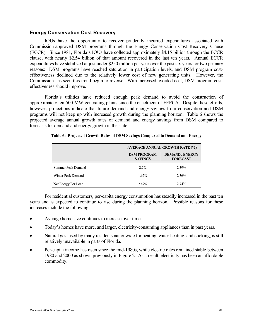#### **Energy Conservation Cost Recovery**

IOUs have the opportunity to recover prudently incurred expenditures associated with Commission-approved DSM programs through the Energy Conservation Cost Recovery Clause (ECCR). Since 1981, Florida's IOUs have collected approximately \$4.15 billion through the ECCR clause, with nearly \$2.54 billion of that amount recovered in the last ten years. Annual ECCR expenditures have stabilized at just under \$250 million per year over the past six years for two primary reasons: DSM programs have reached saturation in participation levels, and DSM program costeffectiveness declined due to the relatively lower cost of new generating units. However, the Commission has seen this trend begin to reverse. With increased avoided cost, DSM program costeffectiveness should improve.

Florida's utilities have reduced enough peak demand to avoid the construction of approximately ten 500 MW generating plants since the enactment of FEECA. Despite these efforts, however, projections indicate that future demand and energy savings from conservation and DSM programs will not keep up with increased growth during the planning horizon. Table 6 shows the projected average annual growth rates of demand and energy savings from DSM compared to forecasts for demand and energy growth in the state.

|                     | <b>AVERAGE ANNUAL GROWTH RATE (%)</b> |                                         |  |  |
|---------------------|---------------------------------------|-----------------------------------------|--|--|
|                     | <b>DSM PROGRAM</b><br><b>SAVINGS</b>  | <b>DEMAND/ENERGY</b><br><b>FORECAST</b> |  |  |
| Summer Peak Demand  | $2.2\%$                               | 2.39%                                   |  |  |
| Winter Peak Demand  | 1.62%                                 | 2.36%                                   |  |  |
| Net Energy For Load | 2.47%                                 | $2.74\%$                                |  |  |

#### **Table 6: Projected Growth Rates of DSM Savings Compared to Demand and Energy**

For residential customers, per-capita energy consumption has steadily increased in the past ten years and is expected to continue to rise during the planning horizon. Possible reasons for these increases include the following:

- Average home size continues to increase over time.
- Today's homes have more, and larger, electricity-consuming appliances than in past years.
- Natural gas, used by many residents nationwide for heating, water heating, and cooking, is still relatively unavailable in parts of Florida.
- Per-capita income has risen since the mid-1980s, while electric rates remained stable between 1980 and 2000 as shown previously in Figure 2. As a result, electricity has been an affordable commodity.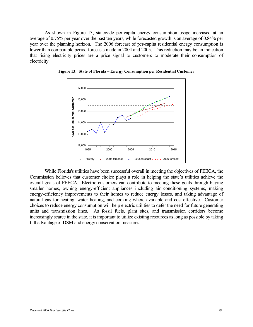As shown in Figure 13, statewide per-capita energy consumption usage increased at an average of 0.75% per year over the past ten years, while forecasted growth is an average of 0.84% per year over the planning horizon. The 2006 forecast of per-capita residential energy consumption is lower than comparable period forecasts made in 2004 and 2005. This reduction may be an indication that rising electricity prices are a price signal to customers to moderate their consumption of electricity.



**Figure 13: State of Florida – Energy Consumption per Residential Customer** 

While Florida's utilities have been successful overall in meeting the objectives of FEECA, the Commission believes that customer choice plays a role in helping the state's utilities achieve the overall goals of FEECA. Electric customers can contribute to meeting these goals through buying smaller homes, owning energy-efficient appliances including air conditioning systems, making energy-efficiency improvements to their homes to reduce energy losses, and taking advantage of natural gas for heating, water heating, and cooking where available and cost-effective. Customer choices to reduce energy consumption will help electric utilities to defer the need for future generating units and transmission lines. As fossil fuels, plant sites, and transmission corridors become increasingly scarce in the state, it is important to utilize existing resources as long as possible by taking full advantage of DSM and energy conservation measures.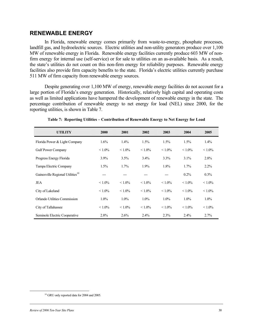#### **RENEWABLE ENERGY**

In Florida, renewable energy comes primarily from waste-to-energy, phosphate processes, landfill gas, and hydroelectric sources. Electric utilities and non-utility generators produce over 1,100 MW of renewable energy in Florida. Renewable energy facilities currently produce 603 MW of nonfirm energy for internal use (self-service) or for sale to utilities on an as-available basis. As a result, the state's utilities do not count on this non-firm energy for reliability purposes. Renewable energy facilities also provide firm capacity benefits to the state. Florida's electric utilities currently purchase 511 MW of firm capacity from renewable energy sources.

Despite generating over 1,100 MW of energy, renewable energy facilities do not account for a large portion of Florida's energy generation. Historically, relatively high capital and operating costs as well as limited applications have hampered the development of renewable energy in the state. The percentage contribution of renewable energy to net energy for load (NEL) since 2000, for the reporting utilities, is shown in Table 7.

| <b>UTILITY</b>                               | 2000      | 2001      | 2002      | 2003      | 2004      | 2005      |
|----------------------------------------------|-----------|-----------|-----------|-----------|-----------|-----------|
| Florida Power & Light Company                | 1.6%      | $1.4\%$   | $1.5\%$   | $1.5\%$   | 1.5%      | $1.4\%$   |
| <b>Gulf Power Company</b>                    | $< 1.0\%$ | $< 1.0\%$ | $< 1.0\%$ | $< 1.0\%$ | $< 1.0\%$ | $< 1.0\%$ |
| Progress Energy Florida                      | $3.9\%$   | 3.5%      | 3.4%      | $3.3\%$   | $3.1\%$   | 2.8%      |
| Tampa Electric Company                       | 1.5%      | 1.7%      | 1.9%      | 1.8%      | 1.7%      | $2.2\%$   |
| Gainesville Regional Utilities <sup>10</sup> | ---       |           |           | ---       | $0.2\%$   | $0.3\%$   |
| JEA                                          | $< 1.0\%$ | $< 1.0\%$ | $< 1.0\%$ | $< 1.0\%$ | $< 1.0\%$ | $< 1.0\%$ |
| City of Lakeland                             | $< 1.0\%$ | $< 1.0\%$ | $< 1.0\%$ | $< 1.0\%$ | $< 1.0\%$ | $< 1.0\%$ |
| Orlando Utilities Commission                 | $1.0\%$   | $1.0\%$   | $1.0\%$   | $1.0\%$   | $1.0\%$   | $1.0\%$   |
| City of Tallahassee                          | $< 1.0\%$ | $< 1.0\%$ | $< 1.0\%$ | $< 1.0\%$ | $< 1.0\%$ | $< 1.0\%$ |
| Seminole Electric Cooperative                | 2.8%      | 2.6%      | 2.4%      | 2.3%      | 2.4%      | 2.7%      |

**Table 7: Reporting Utilities – Contribution of Renewable Energy to Net Energy for Load** 

<sup>&</sup>lt;sup>10</sup> GRU only reported data for 2004 and 2005.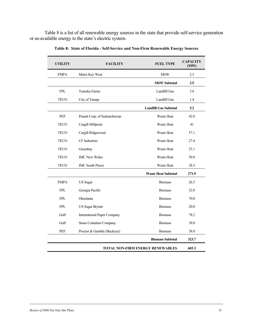Table 8 is a list of all renewable energy sources in the state that provide self-service generation or as-available energy to the state's electric system.

| <b>UTILITY</b>                          | <b>FACILITY</b>                    | <b>FUEL TYPE</b>             | <b>CAPACITY</b><br>(MW) |
|-----------------------------------------|------------------------------------|------------------------------|-------------------------|
| <b>FMPA</b>                             | Metro Key West                     | <b>MSW</b>                   | 2.5                     |
|                                         |                                    | <b>MSW Subtotal</b>          | 2.5                     |
| <b>FPL</b>                              | Tomoka Farms                       | Landfill Gas                 | 3.8                     |
| <b>TECO</b>                             | City of Tampa                      | Landfill Gas                 | 1.4                     |
|                                         |                                    | <b>Landfill Gas Subtotal</b> | 5.2                     |
| PEF                                     | Potash Corp. of Saskatchewan       | Waste Heat                   | 42.0                    |
| <b>TECO</b>                             | Cargill Millpoint                  | <b>Waste Heat</b>            | 41                      |
| <b>TECO</b>                             | Cargill Ridgewood                  | Waste Heat                   | 57.1                    |
| <b>TECO</b>                             | CF Industries                      | Waste Heat                   | 27.4                    |
| <b>TECO</b>                             | Greenbay                           | Waste Heat                   | 25.1                    |
| <b>TECO</b>                             | <b>IMC New Wales</b>               | <b>Waste Heat</b>            | 50.8                    |
| <b>TECO</b>                             | <b>IMC South Pierce</b>            | Waste Heat                   | 28.5                    |
|                                         |                                    | <b>Waste Heat Subtotal</b>   | 271.9                   |
| <b>FMPA</b>                             | <b>US</b> Sugar                    | <b>Biomass</b>               | 26.5                    |
| <b>FPL</b>                              | Georgia Pacific                    | <b>Biomass</b>               | 52.0                    |
| <b>FPL</b>                              | Okeelanta                          | <b>Biomass</b>               | 70.0                    |
| ${\rm FPL}$                             | <b>US Sugar Bryant</b>             | <b>Biomass</b>               | 20.0                    |
| Gulf                                    | <b>International Paper Company</b> | <b>Biomass</b>               | 78.2                    |
| Gulf                                    | <b>Stone Container Company</b>     | <b>Biomass</b>               | 39.0                    |
| PEF                                     | Proctor & Gamble (Buckeye)         | <b>Biomass</b>               | 38.0                    |
|                                         |                                    | <b>Biomass Subtotal</b>      | 323.7                   |
| <b>TOTAL NON-FIRM ENERGY RENEWABLES</b> |                                    |                              |                         |

**Table 8: State of Florida - Self-Service and Non-Firm Renewable Energy Sources**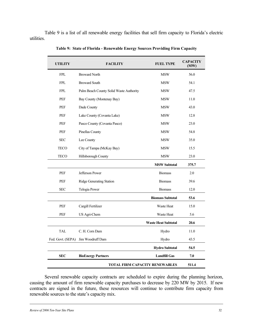Table 9 is a list of all renewable energy facilities that sell firm capacity to Florida's electric utilities.

| UTILITY           | <b>FACILITY</b>                         | <b>FUEL TYPE</b>           | <b>CAPACITY</b><br>(MW) |
|-------------------|-----------------------------------------|----------------------------|-------------------------|
| <b>FPL</b>        | <b>Broward North</b>                    | <b>MSW</b>                 | 56.0                    |
| <b>FPL</b>        | <b>Broward South</b>                    | <b>MSW</b>                 | 54.1                    |
| <b>FPL</b>        | Palm Beach County Solid Waste Authority | MSW                        | 47.5                    |
| PEF               | Bay County (Montenay Bay)               | MSW                        | 11.0                    |
| <b>PEF</b>        | Dade County                             | <b>MSW</b>                 | 43.0                    |
| <b>PEF</b>        | Lake County (Covanta Lake)              | <b>MSW</b>                 | 12.8                    |
| PEF               | Pasco County (Covanta Pasco)            | <b>MSW</b>                 | 23.0                    |
| <b>PEF</b>        | Pinellas County                         | MSW                        | 54.8                    |
| <b>SEC</b>        | Lee County                              | <b>MSW</b>                 | 35.0                    |
| <b>TECO</b>       | City of Tampa (McKay Bay)               | <b>MSW</b>                 | 15.5                    |
| <b>TECO</b>       | Hillsborough County                     | <b>MSW</b>                 | 23.0                    |
|                   |                                         | <b>MSW Subtotal</b>        | 375.7                   |
| <b>PEF</b>        | Jefferson Power                         | <b>Biomass</b>             | 2.0                     |
| <b>PEF</b>        | Ridge Generating Station                | <b>Biomass</b>             | 39.6                    |
| <b>SEC</b>        | Telogia Power                           | 12.0<br><b>Biomass</b>     |                         |
|                   |                                         | <b>Biomass Subtotal</b>    | 53.6                    |
| <b>PEF</b>        | Cargill Fertilizer                      | Waste Heat                 | 15.0                    |
| <b>PEF</b>        | US Agri-Chem                            | <b>Waste Heat</b>          | 5.6                     |
|                   |                                         | <b>Waste Heat Subtotal</b> | 20.6                    |
| <b>TAL</b>        | C. H. Corn Dam                          | Hydro                      | 11.0                    |
| Fed. Govt. (SEPA) | Jim Woodruff Dam                        | Hydro                      | 43.5                    |
|                   |                                         | <b>Hydro Subtotal</b>      | 54.5                    |
| <b>SEC</b>        | <b>BioEnergy Partners</b>               | <b>Landfill Gas</b>        | 7.0                     |
|                   | 511.4                                   |                            |                         |

**Table 9: State of Florida - Renewable Energy Sources Providing Firm Capacity** 

Several renewable capacity contracts are scheduled to expire during the planning horizon, causing the amount of firm renewable capacity purchases to decrease by 220 MW by 2015. If new contracts are signed in the future, these resources will continue to contribute firm capacity from renewable sources to the state's capacity mix.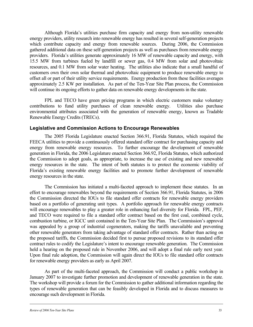Although Florida's utilities purchase firm capacity and energy from non-utility renewable energy providers, utility research into renewable energy has resulted in several self-generation projects which contribute capacity and energy from renewable sources. During 2006, the Commission gathered additional data on these self-generation projects as well as purchases from renewable energy providers. Florida's utilities generate approximately 16 MW of renewable capacity and energy, with 15.5 MW from turbines fueled by landfill or sewer gas, 0.4 MW from solar and photovoltaic resources, and 0.1 MW from solar water heating. The utilities also indicate that a small handful of customers own their own solar thermal and photovoltaic equipment to produce renewable energy to offset all or part of their utility service requirements. Energy production from these facilities averages approximately 2.5 KW per installation. As part of the Ten-Year Site Plan process, the Commission will continue its ongoing efforts to gather data on renewable energy developments in the state.

FPL and TECO have green pricing programs in which electric customers make voluntary contributions to fund utility purchases of clean renewable energy. Utilities also purchase environmental attributes associated with the generation of renewable energy, known as Tradable Renewable Energy Credits (TRECs).

#### **Legislative and Commission Actions to Encourage Renewables**

The 2005 Florida Legislature enacted Section 366.91, Florida Statutes, which required the FEECA utilities to provide a continuously offered standard offer contract for purchasing capacity and energy from renewable energy resources. To further encourage the development of renewable generation in Florida, the 2006 Legislature enacted Section 366.92, Florida Statutes, which authorized the Commission to adopt goals, as appropriate, to increase the use of existing and new renewable energy resources in the state. The intent of both statutes is to protect the economic viability of Florida's existing renewable energy facilities and to promote further development of renewable energy resources in the state.

The Commission has initiated a multi-faceted approach to implement these statutes. In an effort to encourage renewables beyond the requirements of Section 366.91, Florida Statutes, in 2006 the Commission directed the IOUs to file standard offer contracts for renewable energy providers based on a portfolio of generating unit types. A portfolio approach for renewable energy contracts will encourage renewables to play a greater role in enhancing fuel diversity for Florida. FPL, PEF, and TECO were required to file a standard offer contract based on the first coal, combined cycle, combustion turbine, or IGCC unit contained in the Ten-Year Site Plan. The Commission's approval was appealed by a group of industrial cogenerators, making the tariffs unavailable and preventing other renewable generators from taking advantage of standard offer contracts. Rather than acting on the proposed tariffs, the Commission decided first to pursue proposed revisions to its standard offer contract rules to codify the Legislature's intent to encourage renewable generation. The Commission held a hearing on the proposed rule in November 2006, and will adopt a final rule early next year. Upon final rule adoption, the Commission will again direct the IOUs to file standard offer contracts for renewable energy providers as early as April 2007.

As part of the multi-faceted approach, the Commission will conduct a public workshop in January 2007 to investigate further promotion and development of renewable generation in the state. The workshop will provide a forum for the Commission to gather additional information regarding the types of renewable generation that can be feasibly developed in Florida and to discuss measures to encourage such development in Florida.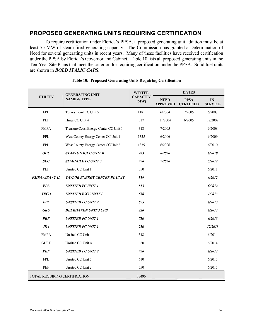### **PROPOSED GENERATING UNITS REQUIRING CERTIFICATION**

To require certification under Florida's PPSA, a proposed generating unit addition must be at least 75 MW of steam-fired generating capacity. The Commission has granted a Determination of Need for several generating units in recent years. Many of these facilities have received certification under the PPSA by Florida's Governor and Cabinet. Table 10 lists all proposed generating units in the Ten-Year Site Plans that meet the criterion for requiring certification under the PPSA. Solid fuel units are shown in *BOLD ITALIC CAPS*.

| <b>UTILITY</b>                                 | <b>GENERATING UNIT</b>                 | <b>WINTER</b><br><b>CAPACITY</b><br>(MW) | <b>DATES</b>                   |                                 |                         |  |
|------------------------------------------------|----------------------------------------|------------------------------------------|--------------------------------|---------------------------------|-------------------------|--|
|                                                | <b>NAME &amp; TYPE</b>                 |                                          | <b>NEED</b><br><b>APPROVED</b> | <b>PPSA</b><br><b>CERTIFIED</b> | $IN-$<br><b>SERVICE</b> |  |
| ${\rm FPL}$                                    | Turkey Point CC Unit 5                 | 1181                                     | 6/2004                         | 2/2005                          | 6/2007                  |  |
| PEF                                            | Hines CC Unit 4                        | 517                                      | 11/2004                        | 6/2005                          | 12/2007                 |  |
| <b>FMPA</b>                                    | Treasure Coast Energy Center CC Unit 1 | 318                                      | 7/2005                         |                                 | 6/2008                  |  |
| <b>FPL</b>                                     | West County Energy Center CC Unit 1    | 1335                                     | 6/2006                         |                                 | 6/2009                  |  |
| <b>FPL</b>                                     | West County Energy Center CC Unit 2    | 1335                                     | 6/2006                         |                                 | 6/2010                  |  |
| $\boldsymbol{O} \boldsymbol{U} \boldsymbol{C}$ | <b>STANTON IGCC UNIT B</b>             | 283                                      | 6/2006                         |                                 | 6/2010                  |  |
| <b>SEC</b>                                     | <b>SEMINOLE PC UNIT 3</b>              | 750                                      | 7/2006                         |                                 | 5/2012                  |  |
| PEF                                            | Unsited CC Unit 1                      | 550                                      |                                |                                 | 6/2011                  |  |
| <b>FMPA/JEA/TAL</b>                            | TAYLOR ENERGY CENTER PC UNIT           | 819                                      |                                |                                 | 6/2012                  |  |
| <b>FPL</b>                                     | <b>UNSITED PC UNIT 1</b>               | 855                                      |                                |                                 | 6/2012                  |  |
| <b>TECO</b>                                    | <b>UNSITED IGCC UNIT 1</b>             | 630                                      |                                |                                 | 1/2013                  |  |
| <b>FPL</b>                                     | <b>UNSITED PC UNIT 2</b>               | 855                                      |                                |                                 | 6/2013                  |  |
| <b>GRU</b>                                     | <b>DEERHAVEN UNIT 3 CFB</b>            | 220                                      |                                |                                 | 6/2013                  |  |
| <b>PEF</b>                                     | <b>UNSITED PC UNIT 1</b>               | 750                                      |                                |                                 | 6/2013                  |  |
| <b>JEA</b>                                     | <b>UNSITED PC UNIT 1</b>               | 250                                      |                                |                                 | 12/2013                 |  |
| <b>FMPA</b>                                    | Unsited CC Unit 4                      | 318                                      |                                |                                 | 6/2014                  |  |
| <b>GULF</b>                                    | Unsited CC Unit A                      | 620                                      |                                |                                 | 6/2014                  |  |
| <b>PEF</b>                                     | <b>UNSITED PC UNIT 2</b>               | 750                                      |                                |                                 | 6/2014                  |  |
| <b>FPL</b>                                     | Unsited CC Unit 5                      | 610                                      |                                |                                 | 6/2015                  |  |
| PEF                                            | Unsited CC Unit 2                      | 550                                      |                                |                                 | 6/2015                  |  |
| TOTAL REQUIRING CERTIFICATION                  |                                        | 13496                                    |                                |                                 |                         |  |

#### **Table 10: Proposed Generating Units Requiring Certification**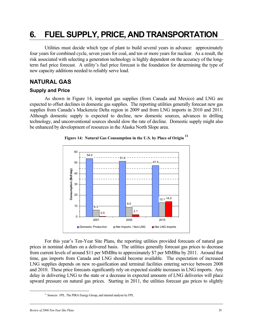## **6. FUEL SUPPLY, PRICE, AND TRANSPORTATION**

Utilities must decide which type of plant to build several years in advance: approximately four years for combined cycle, seven years for coal, and ten or more years for nuclear. As a result, the risk associated with selecting a generation technology is highly dependent on the accuracy of the longterm fuel price forecast. A utility's fuel price forecast is the foundation for determining the type of new capacity additions needed to reliably serve load.

## **NATURAL GAS**

### **Supply and Price**

As shown in Figure 14, imported gas supplies (from Canada and Mexico) and LNG are expected to offset declines in domestic gas supplies. The reporting utilities generally forecast new gas supplies from Canada's Mackenzie Delta region in 2009 and from LNG imports in 2010 and 2011. Although domestic supply is expected to decline, new domestic sources, advances in drilling technology, and unconventional sources should slow the rate of decline. Domestic supply might also be enhanced by development of resources in the Alaska North Slope area.



#### **Figure 14: Natural Gas Consumption in the U.S. by Place of Origin 11**

For this year's Ten-Year Site Plans, the reporting utilities provided forecasts of natural gas prices in nominal dollars on a delivered basis. The utilities generally forecast gas prices to decrease from current levels of around \$11 per MMBtu to approximately \$7 per MMBtu by 2011. Around that time, gas imports from Canada and LNG should become available. The expectation of increased LNG supplies depends on new re-gasification and terminal facilities entering service between 2008 and 2010. These price forecasts significantly rely on expected sizable increases in LNG imports. Any delay in delivering LNG to the state or a decrease in expected amounts of LNG deliveries will place upward pressure on natural gas prices. Starting in 2011, the utilities forecast gas prices to slightly

<sup>&</sup>lt;sup>11</sup> Sources: FPL. The PIRA Energy Group, and internal analysis by FPL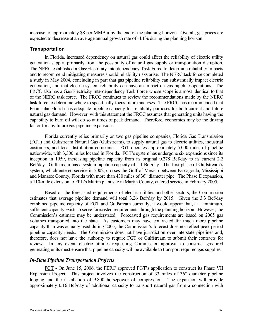increase to approximately \$8 per MMBtu by the end of the planning horizon. Overall, gas prices are expected to decrease at an average annual growth rate of -4.1% during the planning horizon.

#### **Transportation**

In Florida, increased dependency on natural gas could affect the reliability of electric utility generation supply, primarily from the possibility of natural gas supply or transportation disruption. The NERC established a Gas/Electricity Interdependency Task Force to determine reliability impacts and to recommend mitigating measures should reliability risks arise. The NERC task force completed a study in May 2004, concluding in part that gas pipeline reliability can substantially impact electric generation, and that electric system reliability can have an impact on gas pipeline operations. The FRCC also has a Gas/Electricity Interdependency Task Force whose scope is almost identical to that of the NERC task force. The FRCC continues to review the recommendations made by the NERC task force to determine where to specifically focus future analyses. The FRCC has recommended that Peninsular Florida has adequate pipeline capacity for reliability purposes for both current and future natural gas demand. However, with this statement the FRCC assumes that generating units having the capability to burn oil will do so at times of peak demand. Therefore, economics may be the driving factor for any future gas pipeline expansions.

Florida currently relies primarily on two gas pipeline companies, Florida Gas Transmission (FGT) and Gulfstream Natural Gas (Gulfstream), to supply natural gas to electric utilities, industrial customers, and local distribution companies. FGT operates approximately 5,000 miles of pipeline nationwide, with 3,300 miles located in Florida. FGT's system has undergone six expansions since its inception in 1959, increasing pipeline capacity from its original 0.278 Bcf/day to its current 2.2 Bcf/day. Gulfstream has a system pipeline capacity of 1.1 Bcf/day. The first phase of Gulfstream's system, which entered service in 2002, crosses the Gulf of Mexico between Pascagoula, Mississippi and Manatee County, Florida with more than 430 miles of 36" diameter pipe. The Phase II expansion, a 110-mile extension to FPL's Martin plant site in Martin County, entered service in February 2005.

Based on the forecasted requirements of electric utilities and other sectors, the Commission estimates that average pipeline demand will total 3.26 Bcf/day by 2015. Given the 3.3 Bcf/day combined pipeline capacity of FGT and Gulfstream currently, it would appear that, at a minimum, sufficient capacity exists to serve forecasted requirements through the planning horizon. However, the Commission's estimate may be understated. Forecasted gas requirements are based on 2005 gas volumes transported into the state. As customers may have contracted for much more pipeline capacity than was actually used during 2005, the Commission's forecast does not reflect peak period pipeline capacity needs. The Commission does not have jurisdiction over interstate pipelines and, therefore, does not have the authority to require FGT or Gulfstream to submit their contracts for review. In any event, electric utilities requesting Commission approval to construct gas-fired generating units must ensure that pipeline capacity will be available to transport required gas supplies.

#### *In-State Pipeline Transportation Projects*

FGT - On June 15, 2006, the FERC approved FGT's application to construct its Phase VII Expansion Project. This project involves the construction of 33 miles of 36" diameter pipeline looping and the installation of 9,800 horsepower of compression. The expansion will provide approximately 0.16 Bcf/day of additional capacity to transport natural gas from a connection with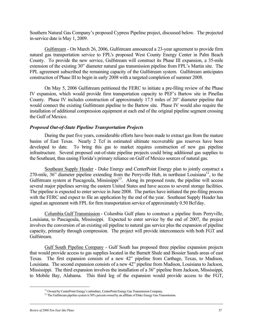Southern Natural Gas Company's proposed Cypress Pipeline project, discussed below. The projected in-service date is May 1, 2009.

Gulfstream - On March 26, 2006, Gulfstream announced a 23-year agreement to provide firm natural gas transportation service to FPL's proposed West County Energy Center in Palm Beach County. To provide the new service, Gulfstream will construct its Phase III expansion, a 35-mile extension of the existing 30" diameter natural gas transmission pipeline from FPL's Martin site. The FPL agreement subscribed the remaining capacity of the Gulfstream system. Gulfstream anticipates construction of Phase III to begin in early 2008 with a targeted completion of summer 2008.

On May 5, 2006 Gulfstream petitioned the FERC to initiate a pre-filing review of the Phase IV expansion, which would provide firm transportation capacity to PEF's Bartow site in Pinellas County. Phase IV includes construction of approximately 17.5 miles of 20" diameter pipeline that would connect the existing Gulfstream pipeline to the Bartow site. Phase IV would also require the installation of additional compression equipment at each end of the original pipeline segment crossing the Gulf of Mexico.

#### *Proposed Out-of-State Pipeline Transportation Projects*

During the past five years, considerable efforts have been made to extract gas from the mature basins of East Texas. Nearly 2 Tcf in estimated ultimate recoverable gas reserves have been developed to date. To bring this gas to market requires construction of new gas pipeline infrastructure. Several proposed out-of-state pipeline projects could bring additional gas supplies to the Southeast, thus easing Florida's primary reliance on Gulf of Mexico sources of natural gas.

Southeast Supply Header - Duke Energy and CenterPoint Energy plan to jointly construct a 270-mile, 36" diameter pipeline extending from the Perryville Hub, in northeast Louisiana<sup>12</sup>, to the Gulfstream system at Pascagoula, Mississippi<sup>13</sup>. Along its proposed route, the pipeline will access several major pipelines serving the eastern United States and have access to several storage facilities. The pipeline is expected to enter service in June 2008. The parties have initiated the pre-filing process with the FERC and expect to file an application by the end of the year. Southeast Supply Header has signed an agreement with FPL for firm transportation service of approximately 0.50 Bcf/day.

Columbia Gulf Transmission - Columbia Gulf plans to construct a pipeline from Perryville, Louisiana, to Pascagoula, Mississippi. Expected to enter service by the end of 2007, the project involves the conversion of an existing oil pipeline to natural gas service plus the expansion of pipeline capacity, primarily through compression. The project will provide interconnects with both FGT and Gulfstream.

Gulf South Pipeline Company - Gulf South has proposed three pipeline expansion projects that would provide access to gas supplies located in the Barnett Shale and Bossier Sands areas of east Texas. The first expansion consists of a new 42" pipeline from Carthage, Texas, to Madison, Louisiana. The second expansion consists of a new 42" pipeline from Madison, Louisiana to Jackson, Mississippi. The third expansion involves the installation of a 36" pipeline from Jackson, Mississippi, to Mobile Bay, Alabama. This third leg of the expansion would provide access to the FGT,

<sup>&</sup>lt;sup>12</sup> Owned by CenterPoint Energy's subsidiary, CenterPoint Energy Gas Transmission Company.<br><sup>13</sup> The Gulfstream pipeline system is 50% percent owned by an affiliate of Duke Energy Gas Transmission.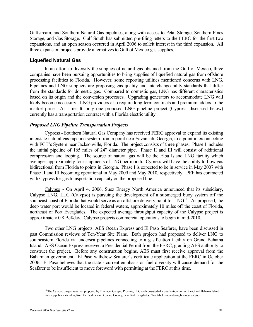Gulfstream, and Southern Natural Gas pipelines, along with access to Petal Storage, Southern Pines Storage, and Gas Storage. Gulf South has submitted pre-filing letters to the FERC for the first two expansions, and an open season occurred in April 2006 to solicit interest in the third expansion. All three expansion projects provide alternatives to Gulf of Mexico gas supplies.

#### **Liquefied Natural Gas**

In an effort to diversify the supplies of natural gas obtained from the Gulf of Mexico, three companies have been pursuing opportunities to bring supplies of liquefied natural gas from offshore processing facilities to Florida. However, some reporting utilities mentioned concerns with LNG. Pipelines and LNG suppliers are proposing gas quality and interchangeability standards that differ from the standards for domestic gas. Compared to domestic gas, LNG has different characteristics based on its origin and the conversion processes. Upgrading generators to accommodate LNG will likely become necessary. LNG providers also require long-term contracts and premium adders to the market price. As a result, only one proposed LNG pipeline project (Cypress, discussed below) currently has a transportation contract with a Florida electric utility.

#### *Proposed LNG Pipeline Transportation Projects*

Cypress - Southern Natural Gas Company has received FERC approval to expand its existing interstate natural gas pipeline system from a point near Savannah, Georgia, to a point interconnecting with FGT's System near Jacksonville, Florida. The project consists of three phases. Phase I includes the initial pipeline of 165 miles of 24" diameter pipe. Phase II and III will consist of additional compression and looping. The source of natural gas will be the Elba Island LNG facility which averages approximately four shipments of LNG per month. Cypress will have the ability to flow gas bidirectional from Florida to points in Georgia. Phase I is expected to be in service in May 2007 with Phase II and III becoming operational in May 2009 and May 2010, respectively. PEF has contracted with Cypress for gas transportation capacity on the proposed line.

Calypso - On April 4, 2006, Suez Energy North America announced that its subsidiary, Calypso LNG, LLC (Calypso) is pursuing the development of a submerged buoy system off the southeast coast of Florida that would serve as an offshore delivery point for  $LNG<sup>14</sup>$ . As proposed, the deep water port would be located in federal waters, approximately 10 miles off the coast of Florida, northeast of Port Everglades. The expected average throughput capacity of the Calypso project is approximately 0.8 Bcf/day. Calypso projects commercial operations to begin in mid-2010.

Two other LNG projects, AES Ocean Express and El Paso Seafarer, have been discussed in past Commission reviews of Ten-Year Site Plans. Both projects had proposed to deliver LNG to southeastern Florida via undersea pipelines connecting to a gasification facility on Grand Bahama Island. AES Ocean Express received a Presidential Permit from the FERC, granting AES authority to construct the project. Before any construction begins, AES must first receive approval from the Bahamian government. El Paso withdrew Seafarer's certificate application at the FERC in October 2006. El Paso believes that the state's current emphasis on fuel diversity will cause demand for the Seafarer to be insufficient to move foreword with permitting at the FERC at this time.

<sup>&</sup>lt;sup>14</sup> The Calypso project was first proposed by Tractabel Calypso Pipeline, LLC and consisted of a gasification unit on the Grand Bahama Island with a pipeline extending from the facilities to Broward County, near Port Everglades. Tractabel is now doing business as Suez.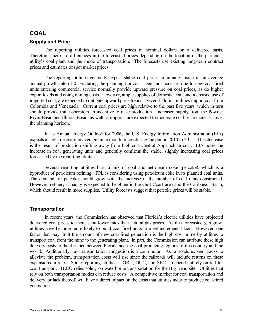#### **COAL**

#### **Supply and Price**

The reporting utilities forecasted coal prices in nominal dollars on a delivered basis. Therefore, there are differences in the forecasted prices depending on the location of the particular utility's coal plant and the mode of transportation. The forecasts use existing long-term contract prices and estimates of spot market prices.

The reporting utilities generally expect stable coal prices, minimally rising at an average annual growth rate of 0.5% during the planning horizon. Demand increases due to new coal-fired units entering commercial service normally provide upward pressure on coal prices, as do higher export levels and rising mining costs. However, ample supplies of domestic coal, and increased use of imported coal, are expected to mitigate upward price trends. Several Florida utilities import coal from Colombia and Venezuela. Current coal prices are high relative to the past five years, which in turn should provide mine operators an incentive to raise production. Increased supply from the Powder River Basin and Illinois Basin, as well as imports, are expected to moderate coal price increases over the planning horizon.

In its Annual Energy Outlook for 2006, the U.S. Energy Information Administration (EIA) expects a slight decrease in average mine mouth prices during the period 2010 to 2015. This decrease is the result of production shifting away from high-cost Central Appalachian coal. EIA notes the increase in coal generating units and generally confirms the stable, slightly increasing coal prices forecasted by the reporting utilities.

Several reporting utilities burn a mix of coal and petroleum coke (petcoke), which is a byproduct of petroleum refining. FPL is considering using petroleum coke in its planned coal units. The demand for petcoke should grow with the increase in the number of coal units constructed. However, refinery capacity is expected to heighten in the Gulf Coast area and the Caribbean Basin, which should result in more supplies. Utility forecasts suggest that petcoke prices will be stable.

#### **Transportation**

In recent years, the Commission has observed that Florida's electric utilities have projected delivered coal prices to increase at lower rates than natural gas prices. As this forecasted gap grew, utilities have become more likely to build coal-fired units to meet incremental load. However, one factor that may limit the amount of new coal-fired generation is the high cost borne by utilities to transport coal from the mine to the generating plant. In part, the Commission can attribute these high delivery costs to the distance between Florida and the coal-producing regions of this country and the world. Additionally, rail transportation congestion is a contributor. As railroads expand tracks to alleviate the problem, transportation costs will rise since the railroads will include returns on these expansions in rates. Some reporting utilities -- GRU, OUC, and SEC -- depend entirely on rail for coal transport. TECO relies solely on waterborne transportation for the Big Bend site. Utilities that rely on both transportation modes can reduce costs. A competitive market for coal transportation and delivery, or lack thereof, will have a direct impact on the costs that utilities incur to produce coal-fired generation.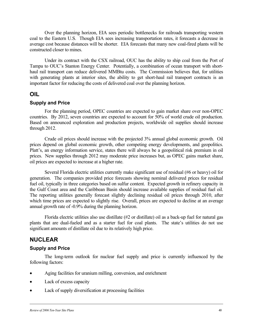Over the planning horizon, EIA sees periodic bottlenecks for railroads transporting western coal to the Eastern U.S. Though EIA sees increasing transportation rates, it forecasts a decrease in average cost because distances will be shorter. EIA forecasts that many new coal-fired plants will be constructed closer to mines.

Under its contract with the CSX railroad, OUC has the ability to ship coal from the Port of Tampa to OUC's Stanton Energy Center. Potentially, a combination of ocean transport with shorthaul rail transport can reduce delivered MMBtu costs. The Commission believes that, for utilities with generating plants at interior sites, the ability to get short-haul rail transport contracts is an important factor for reducing the costs of delivered coal over the planning horizon.

#### **OIL**

#### **Supply and Price**

For the planning period, OPEC countries are expected to gain market share over non-OPEC countries. By 2012, seven countries are expected to account for 50% of world crude oil production. Based on announced exploration and production projects, worldwide oil supplies should increase through 2012.

Crude oil prices should increase with the projected 3% annual global economic growth. Oil prices depend on global economic growth, other competing energy developments, and geopolitics. Platt's, an energy information service, states there will always be a geopolitical risk premium in oil prices. New supplies through 2012 may moderate price increases but, as OPEC gains market share, oil prices are expected to increase at a higher rate.

Several Florida electric utilities currently make significant use of residual (#6 or heavy) oil for generation. The companies provided price forecasts showing nominal delivered prices for residual fuel oil, typically in three categories based on sulfur content. Expected growth in refinery capacity in the Gulf Coast area and the Caribbean Basin should increase available supplies of residual fuel oil. The reporting utilities generally forecast slightly declining residual oil prices through 2010, after which time prices are expected to slightly rise. Overall, prices are expected to decline at an average annual growth rate of -0.9% during the planning horizon.

Florida electric utilities also use distillate (#2 or distillate) oil as a back-up fuel for natural gas plants that are dual-fueled and as a starter fuel for coal plants. The state's utilities do not use significant amounts of distillate oil due to its relatively high price.

### **NUCLEAR**

#### **Supply and Price**

The long-term outlook for nuclear fuel supply and price is currently influenced by the following factors:

- Aging facilities for uranium milling, conversion, and enrichment
- Lack of excess capacity
- Lack of supply diversification at processing facilities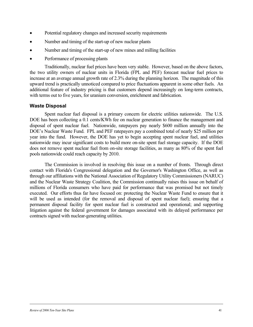- Potential regulatory changes and increased security requirements
- Number and timing of the start-up of new nuclear plants
- Number and timing of the start-up of new mines and milling facilities
- Performance of processing plants

Traditionally, nuclear fuel prices have been very stable. However, based on the above factors, the two utility owners of nuclear units in Florida (FPL and PEF) forecast nuclear fuel prices to increase at an average annual growth rate of 2.3% during the planning horizon. The magnitude of this upward trend is practically unnoticed compared to price fluctuations apparent in some other fuels. An additional feature of industry pricing is that customers depend increasingly on long-term contracts, with terms out to five years, for uranium conversion, enrichment and fabrication.

#### **Waste Disposal**

Spent nuclear fuel disposal is a primary concern for electric utilities nationwide. The U.S. DOE has been collecting a 0.1 cents/KWh fee on nuclear generation to finance the management and disposal of spent nuclear fuel. Nationwide, ratepayers pay nearly \$600 million annually into the DOE's Nuclear Waste Fund. FPL and PEF ratepayers pay a combined total of nearly \$25 million per year into the fund. However, the DOE has yet to begin accepting spent nuclear fuel, and utilities nationwide may incur significant costs to build more on-site spent fuel storage capacity. If the DOE does not remove spent nuclear fuel from on-site storage facilities, as many as 80% of the spent fuel pools nationwide could reach capacity by 2010.

The Commission is involved in resolving this issue on a number of fronts. Through direct contact with Florida's Congressional delegation and the Governor's Washington Office, as well as through our affiliations with the National Association of Regulatory Utility Commissioners (NARUC) and the Nuclear Waste Strategy Coalition, the Commission continually raises this issue on behalf of millions of Florida consumers who have paid for performance that was promised but not timely executed. Our efforts thus far have focused on: protecting the Nuclear Waste Fund to ensure that it will be used as intended (for the removal and disposal of spent nuclear fuel); ensuring that a permanent disposal facility for spent nuclear fuel is constructed and operational; and supporting litigation against the federal government for damages associated with its delayed performance per contracts signed with nuclear-generating utilities.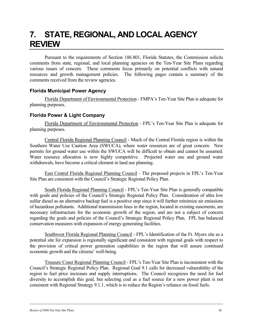## **7. STATE, REGIONAL, AND LOCAL AGENCY REVIEW**

Pursuant to the requirements of Section 186.801, Florida Statutes, the Commission solicits comments from state, regional, and local planning agencies on the Ten-Year Site Plans regarding various issues of concern. These comments focus primarily on potential conflicts with natural resources and growth management policies. The following pages contain a summary of the comments received from the review agencies.

#### **Florida Municipal Power Agency**

Florida Department of Environmental Protection - FMPA's Ten-Year Site Plan is adequate for planning purposes.

#### **Florida Power & Light Company**

Florida Department of Environmental Protection - FPL's Ten-Year Site Plan is adequate for planning purposes.

Central Florida Regional Planning Council - Much of the Central Florida region is within the Southern Water Use Caution Area (SWUCA), where water resources are of great concern. New permits for ground water use within the SWUCA will be difficult to obtain and cannot be assumed. Water resource allocation is now highly competitive. Projected water use and ground water withdrawals, have become a critical element in land use planning.

East Central Florida Regional Planning Council - The proposed projects in FPL's Ten-Year Site Plan are consistent with the Council's Strategic Regional Policy Plan.

South Florida Regional Planning Council - FPL's Ten-Year Site Plan is generally compatible with goals and policies of the Council's Strategic Regional Policy Plan. Consideration of ultra low sulfur diesel as an alternative backup fuel is a positive step since it will further minimize air emissions of hazardous pollutants. Additional transmission lines in the region, located in existing easements, are necessary infrastructure for the economic growth of the region, and are not a subject of concern regarding the goals and policies of the Council's Strategic Regional Policy Plan. FPL has balanced conservation measures with expansion of energy-generating facilities.

Southwest Florida Regional Planning Council - FPL's Identification of the Ft. Myers site as a potential site for expansion is regionally significant and consistent with regional goals with respect to the provision of critical power generation capabilities in the region that will assure continued economic growth and the citizens' well-being.

Treasure Coast Regional Planning Council - FPL's Ten-Year Site Plan is inconsistent with the Council's Strategic Regional Policy Plan. Regional Goal 9.1 calls for decreased vulnerability of the region to fuel price increases and supply interruptions. The Council recognizes the need for fuel diversity to accomplish this goal, but selecting coal as a fuel source for a new power plant is not consistent with Regional Strategy 9.1.1, which is to reduce the Region's reliance on fossil fuels.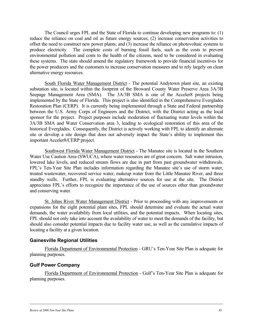The Council urges FPL and the State of Florida to continue developing new programs to: (1) reduce the reliance on coal and oil as future energy sources; (2) increase conservation activities to offset the need to construct new power plants; and (3) increase the reliance on photovoltaic systems to produce electricity. The complete costs of burning fossil fuels, such as the costs to prevent environmental pollution and costs to the health of the citizens, need to be considered in evaluating these systems. The state should amend the regulatory framework to provide financial incentives for the power producers and the customers to increase conservation measures and to rely largely on clean alternative energy resources.

South Florida Water Management District - The potential Andytown plant site, an existing substation site, is located within the footprint of the Broward County Water Preserve Area 3A/3B Seepage Management Area (SMA). The 3A/3B SMA is one of the Acceler8 projects being implemented by the State of Florida. This project is also identified in the Comprehensive Everglades Restoration Plan (CERP). It is currently being implemented through a State and Federal partnership between the U.S. Army Corps of Engineers and the District, with the District acting as the local sponsor for the project. Project purposes include moderation of fluctuating water levels within the 3A/3B SMA and Water Conservation area 3, leading to ecological restoration of this area of the historical Everglades. Consequently, the District is actively working with FPL to identify an alternate site or develop a site design that does not adversely impact the State's ability to implement this important Acceler8/CERP project.

Southwest Florida Water Management District - The Manatee site is located in the Southern Water Use Caution Area (SWUCA), where water resources are of great concern. Salt water intrusion, lowered lake levels, and reduced stream flows are due in part from past groundwater withdrawals. FPL's Ten-Year Site Plan includes information regarding the Manatee site's use of storm water, treated wastewater, recovered service water, makeup water from the Little Manatee River, and three standby wells. Further, FPL is evaluating alternative sources for use at the site. The District appreciates FPL's efforts to recognize the importance of the use of sources other than groundwater and conserving water.

St. Johns River Water Management District - Prior to proceeding with any improvements or expansions for the eight potential plant sites, FPL should determine and evaluate the actual water demands, the water availability from local utilities, and the potential impacts. When locating sites, FPL should not only take into account the availability of water to meet the demands of the facility, but should also consider potential impacts due to facility water use, as well as the cumulative impacts of locating a facility at a given location.

#### **Gainesville Regional Utilities**

Florida Department of Environmental Protection - GRU's Ten-Year Site Plan is adequate for planning purposes.

#### **Gulf Power Company**

Florida Department of Environmental Protection - Gulf's Ten-Year Site Plan is adequate for planning purposes.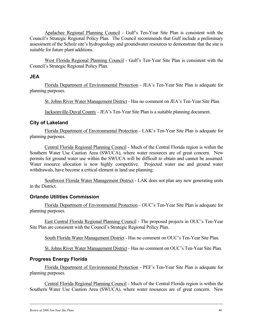Apalachee Regional Planning Council - Gulf's Ten-Year Site Plan is consistent with the Council's Strategic Regional Policy Plan. The Council recommends that Gulf include a preliminary assessment of the Scholz site's hydrogeology and groundwater resources to demonstrate that the site is suitable for future plant additions.

West Florida Regional Planning Council - Gulf's Ten-Year Site Plan is consistent with the Council's Strategic Regional Policy Plan.

#### **JEA**

Florida Department of Environmental Protection - JEA's Ten-Year Site Plan is adequate for planning purposes.

St. Johns River Water Management District - Has no comment on JEA's Ten-Year Site Plan.

Jacksonville-Duval County - JEA's Ten-Year Site Plan is a suitable planning document.

#### **City of Lakeland**

Florida Department of Environmental Protection - LAK's Ten-Year Site Plan is adequate for planning purposes.

Central Florida Regional Planning Council - Much of the Central Florida region is within the Southern Water Use Caution Area (SWUCA), where water resources are of great concern. New permits for ground water use within the SWUCA will be difficult to obtain and cannot be assumed. Water resource allocation is now highly competitive. Projected water use and ground water withdrawals, have become a critical element in land use planning.

Southwest Florida Water Management District - LAK does not plan any new generating units in the District.

#### **Orlando Utilities Commission**

Florida Department of Environmental Protection - OUC's Ten-Year Site Plan is adequate for planning purposes.

East Central Florida Regional Planning Council - The proposed projects in OUC's Ten-Year Site Plan are consistent with the Council's Strategic Regional Policy Plan.

South Florida Water Management District - Has no comment on OUC's Ten-Year Site Plan.

St. Johns River Water Management District - Has no comment on OUC's Ten-Year Site Plan.

#### **Progress Energy Florida**

Florida Department of Environmental Protection - PEF's Ten-Year Site Plan is adequate for planning purposes.

Central Florida Regional Planning Council - Much of the Central Florida region is within the Southern Water Use Caution Area (SWUCA), where water resources are of great concern. New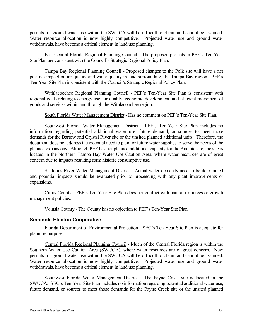permits for ground water use within the SWUCA will be difficult to obtain and cannot be assumed. Water resource allocation is now highly competitive. Projected water use and ground water withdrawals, have become a critical element in land use planning.

East Central Florida Regional Planning Council - The proposed projects in PEF's Ten-Year Site Plan are consistent with the Council's Strategic Regional Policy Plan.

Tampa Bay Regional Planning Council - Proposed changes to the Polk site will have a net positive impact on air quality and water quality in, and surrounding, the Tampa Bay region. PEF's Ten-Year Site Plan is consistent with the Council's Strategic Regional Policy Plan.

Withlacoochee Regional Planning Council - PEF's Ten-Year Site Plan is consistent with regional goals relating to energy use, air quality, economic development, and efficient movement of goods and services within and through the Withlacoochee region.

South Florida Water Management District - Has no comment on PEF's Ten-Year Site Plan.

Southwest Florida Water Management District - PEF's Ten-Year Site Plan includes no information regarding potential additional water use, future demand, or sources to meet those demands for the Bartow and Crystal River site or the unsited planned additional units. Therefore, the document does not address the essential need to plan for future water supplies to serve the needs of the planned expansions. Although PEF has not planned additional capacity for the Anclote site, the site is located in the Northern Tampa Bay Water Use Caution Area, where water resources are of great concern due to impacts resulting form historic consumptive use.

St. Johns River Water Management District - Actual water demands need to be determined and potential impacts should be evaluated prior to proceeding with any plant improvements or expansions.

Citrus County - PEF's Ten-Year Site Plan does not conflict with natural resources or growth management policies.

Volusia County - The County has no objection to PEF's Ten-Year Site Plan.

#### **Seminole Electric Cooperative**

Florida Department of Environmental Protection - SEC's Ten-Year Site Plan is adequate for planning purposes.

Central Florida Regional Planning Council - Much of the Central Florida region is within the Southern Water Use Caution Area (SWUCA), where water resources are of great concern. New permits for ground water use within the SWUCA will be difficult to obtain and cannot be assumed. Water resource allocation is now highly competitive. Projected water use and ground water withdrawals, have become a critical element in land use planning.

Southwest Florida Water Management District - The Payne Creek site is located in the SWUCA. SEC's Ten-Year Site Plan includes no information regarding potential additional water use, future demand, or sources to meet those demands for the Payne Creek site or the unsited planned